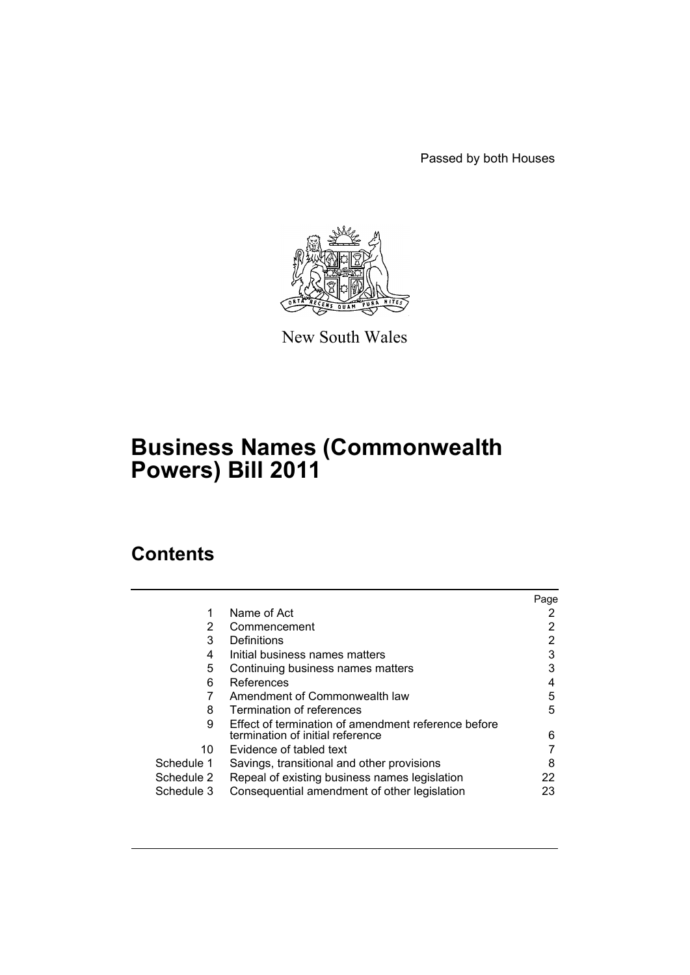Passed by both Houses



New South Wales

# **Business Names (Commonwealth Powers) Bill 2011**

# **Contents**

|            |                                                     | Page |
|------------|-----------------------------------------------------|------|
| 1          | Name of Act                                         |      |
| 2          | Commencement                                        |      |
| 3          | Definitions                                         | 2    |
| 4          | Initial business names matters                      | 3    |
| 5          | Continuing business names matters                   | 3    |
| 6          | References                                          | 4    |
|            | Amendment of Commonwealth law                       | 5    |
| 8          | Termination of references                           | 5    |
| 9          | Effect of termination of amendment reference before |      |
|            | termination of initial reference                    | 6    |
| 10         | Evidence of tabled text                             |      |
| Schedule 1 | Savings, transitional and other provisions          | 8    |
| Schedule 2 | Repeal of existing business names legislation       | 22   |
| Schedule 3 | Consequential amendment of other legislation        | 23   |
|            |                                                     |      |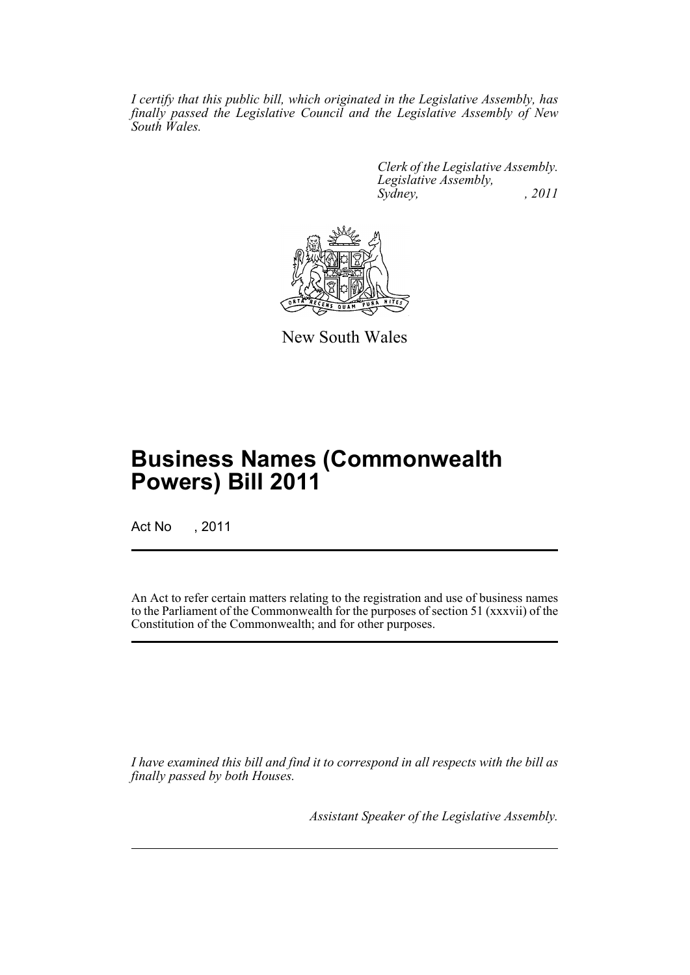*I certify that this public bill, which originated in the Legislative Assembly, has finally passed the Legislative Council and the Legislative Assembly of New South Wales.*

> *Clerk of the Legislative Assembly. Legislative Assembly, Sydney, , 2011*



New South Wales

# **Business Names (Commonwealth Powers) Bill 2011**

Act No , 2011

An Act to refer certain matters relating to the registration and use of business names to the Parliament of the Commonwealth for the purposes of section 51 (xxxvii) of the Constitution of the Commonwealth; and for other purposes.

*I have examined this bill and find it to correspond in all respects with the bill as finally passed by both Houses.*

*Assistant Speaker of the Legislative Assembly.*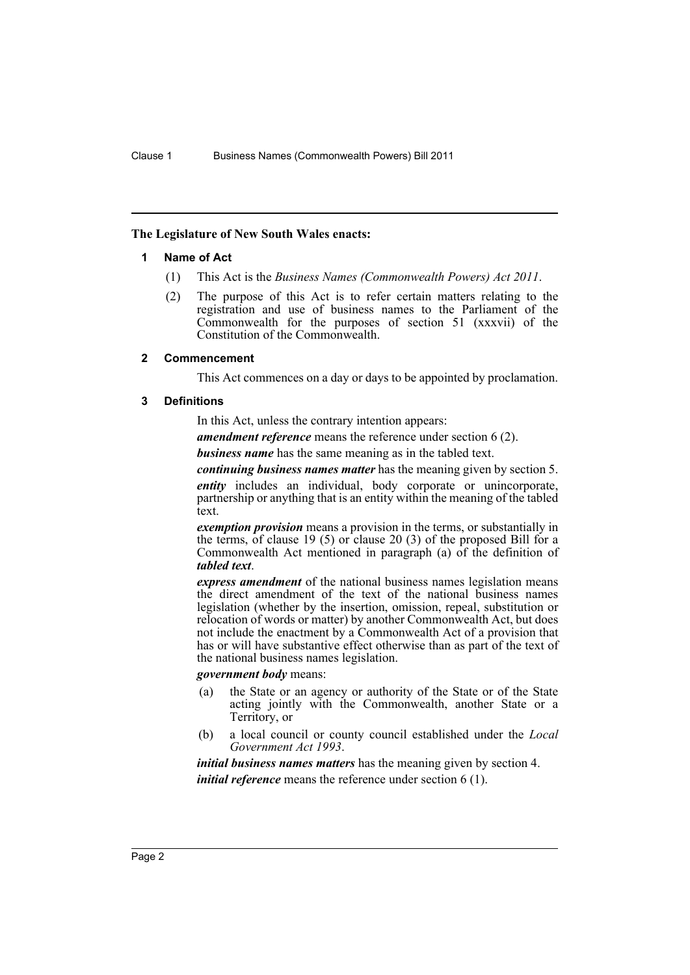#### <span id="page-3-0"></span>**The Legislature of New South Wales enacts:**

#### **1 Name of Act**

- (1) This Act is the *Business Names (Commonwealth Powers) Act 2011*.
- (2) The purpose of this Act is to refer certain matters relating to the registration and use of business names to the Parliament of the Commonwealth for the purposes of section 51 (xxxvii) of the Constitution of the Commonwealth.

#### <span id="page-3-1"></span>**2 Commencement**

This Act commences on a day or days to be appointed by proclamation.

#### <span id="page-3-2"></span>**3 Definitions**

In this Act, unless the contrary intention appears:

*amendment reference* means the reference under section 6 (2).

*business name* has the same meaning as in the tabled text.

*continuing business names matter* has the meaning given by section 5. *entity* includes an individual, body corporate or unincorporate, partnership or anything that is an entity within the meaning of the tabled text.

*exemption provision* means a provision in the terms, or substantially in the terms, of clause  $19(5)$  or clause  $20(3)$  of the proposed Bill for a Commonwealth Act mentioned in paragraph (a) of the definition of *tabled text*.

*express amendment* of the national business names legislation means the direct amendment of the text of the national business names legislation (whether by the insertion, omission, repeal, substitution or relocation of words or matter) by another Commonwealth Act, but does not include the enactment by a Commonwealth Act of a provision that has or will have substantive effect otherwise than as part of the text of the national business names legislation.

#### *government body* means:

- (a) the State or an agency or authority of the State or of the State acting jointly with the Commonwealth, another State or a Territory, or
- (b) a local council or county council established under the *Local Government Act 1993*.

*initial business names matters* has the meaning given by section 4. *initial reference* means the reference under section 6 (1).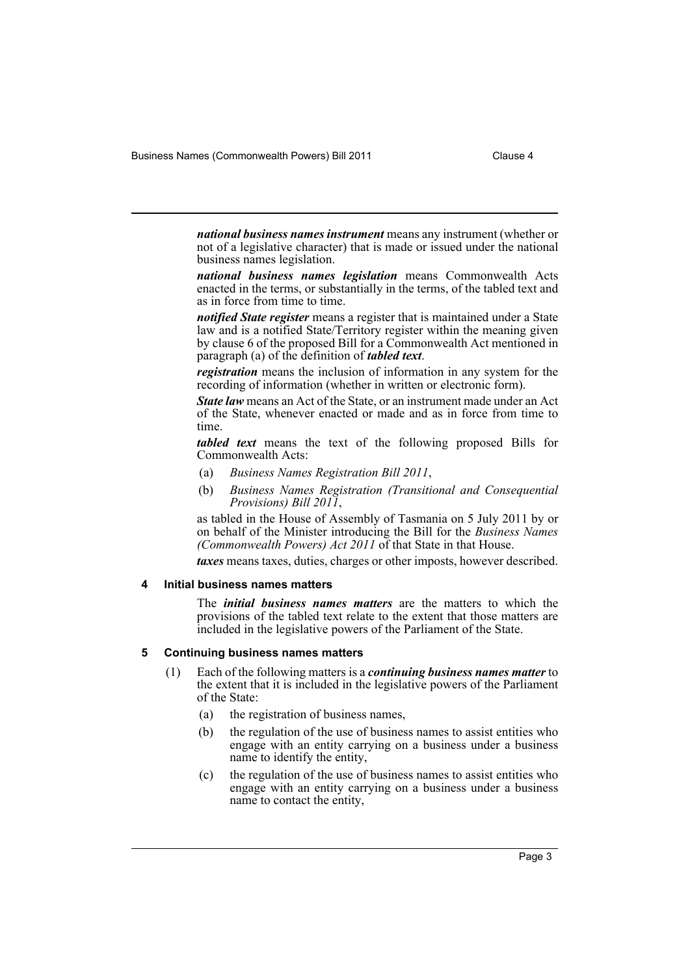Business Names (Commonwealth Powers) Bill 2011 Clause 4

*national business names instrument* means any instrument (whether or not of a legislative character) that is made or issued under the national business names legislation.

*national business names legislation* means Commonwealth Acts enacted in the terms, or substantially in the terms, of the tabled text and as in force from time to time.

*notified State register* means a register that is maintained under a State law and is a notified State/Territory register within the meaning given by clause 6 of the proposed Bill for a Commonwealth Act mentioned in paragraph (a) of the definition of *tabled text*.

*registration* means the inclusion of information in any system for the recording of information (whether in written or electronic form).

*State law* means an Act of the State, or an instrument made under an Act of the State, whenever enacted or made and as in force from time to time.

*tabled text* means the text of the following proposed Bills for Commonwealth Acts:

- (a) *Business Names Registration Bill 2011*,
- (b) *Business Names Registration (Transitional and Consequential Provisions) Bill 2011*,

as tabled in the House of Assembly of Tasmania on 5 July 2011 by or on behalf of the Minister introducing the Bill for the *Business Names (Commonwealth Powers) Act 2011* of that State in that House.

*taxes* means taxes, duties, charges or other imposts, however described.

#### <span id="page-4-0"></span>**4 Initial business names matters**

The *initial business names matters* are the matters to which the provisions of the tabled text relate to the extent that those matters are included in the legislative powers of the Parliament of the State.

#### <span id="page-4-1"></span>**5 Continuing business names matters**

- (1) Each of the following matters is a *continuing business names matter* to the extent that it is included in the legislative powers of the Parliament of the State:
	- (a) the registration of business names,
	- (b) the regulation of the use of business names to assist entities who engage with an entity carrying on a business under a business name to identify the entity,
	- (c) the regulation of the use of business names to assist entities who engage with an entity carrying on a business under a business name to contact the entity,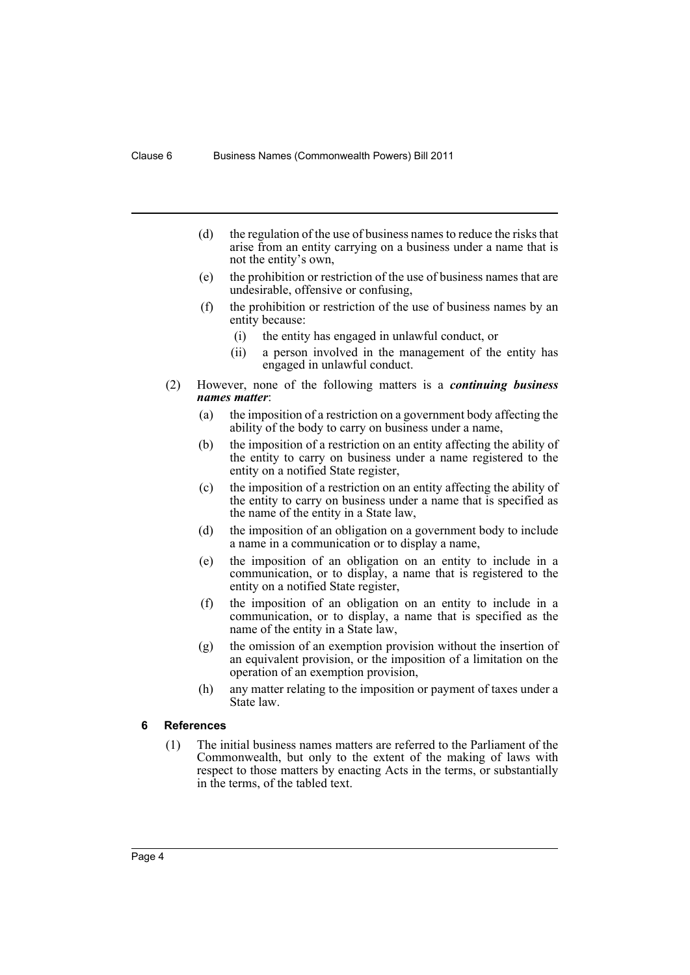- (d) the regulation of the use of business names to reduce the risks that arise from an entity carrying on a business under a name that is not the entity's own,
- (e) the prohibition or restriction of the use of business names that are undesirable, offensive or confusing,
- (f) the prohibition or restriction of the use of business names by an entity because:
	- (i) the entity has engaged in unlawful conduct, or
	- (ii) a person involved in the management of the entity has engaged in unlawful conduct.
- (2) However, none of the following matters is a *continuing business names matter*:
	- (a) the imposition of a restriction on a government body affecting the ability of the body to carry on business under a name,
	- (b) the imposition of a restriction on an entity affecting the ability of the entity to carry on business under a name registered to the entity on a notified State register,
	- (c) the imposition of a restriction on an entity affecting the ability of the entity to carry on business under a name that is specified as the name of the entity in a State law,
	- (d) the imposition of an obligation on a government body to include a name in a communication or to display a name,
	- (e) the imposition of an obligation on an entity to include in a communication, or to display, a name that is registered to the entity on a notified State register,
	- (f) the imposition of an obligation on an entity to include in a communication, or to display, a name that is specified as the name of the entity in a State law,
	- (g) the omission of an exemption provision without the insertion of an equivalent provision, or the imposition of a limitation on the operation of an exemption provision,
	- (h) any matter relating to the imposition or payment of taxes under a State law.

#### <span id="page-5-0"></span>**6 References**

(1) The initial business names matters are referred to the Parliament of the Commonwealth, but only to the extent of the making of laws with respect to those matters by enacting Acts in the terms, or substantially in the terms, of the tabled text.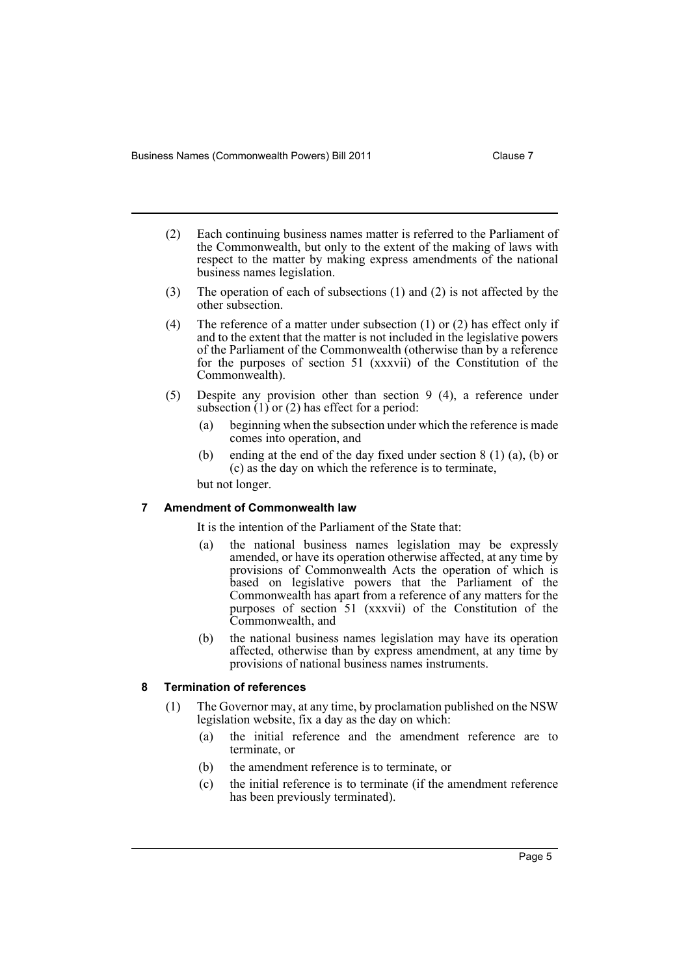- (2) Each continuing business names matter is referred to the Parliament of the Commonwealth, but only to the extent of the making of laws with respect to the matter by making express amendments of the national business names legislation.
- (3) The operation of each of subsections (1) and (2) is not affected by the other subsection.
- (4) The reference of a matter under subsection (1) or (2) has effect only if and to the extent that the matter is not included in the legislative powers of the Parliament of the Commonwealth (otherwise than by a reference for the purposes of section 51 (xxxvii) of the Constitution of the Commonwealth).
- (5) Despite any provision other than section 9 (4), a reference under subsection  $(1)$  or  $(2)$  has effect for a period:
	- (a) beginning when the subsection under which the reference is made comes into operation, and
	- (b) ending at the end of the day fixed under section 8 (1) (a), (b) or (c) as the day on which the reference is to terminate,

but not longer.

#### <span id="page-6-0"></span>**7 Amendment of Commonwealth law**

It is the intention of the Parliament of the State that:

- (a) the national business names legislation may be expressly amended, or have its operation otherwise affected, at any time by provisions of Commonwealth Acts the operation of which is based on legislative powers that the Parliament of the Commonwealth has apart from a reference of any matters for the purposes of section 51 (xxxvii) of the Constitution of the Commonwealth, and
- (b) the national business names legislation may have its operation affected, otherwise than by express amendment, at any time by provisions of national business names instruments.

### <span id="page-6-1"></span>**8 Termination of references**

- (1) The Governor may, at any time, by proclamation published on the NSW legislation website, fix a day as the day on which:
	- (a) the initial reference and the amendment reference are to terminate, or
	- (b) the amendment reference is to terminate, or
	- (c) the initial reference is to terminate (if the amendment reference has been previously terminated).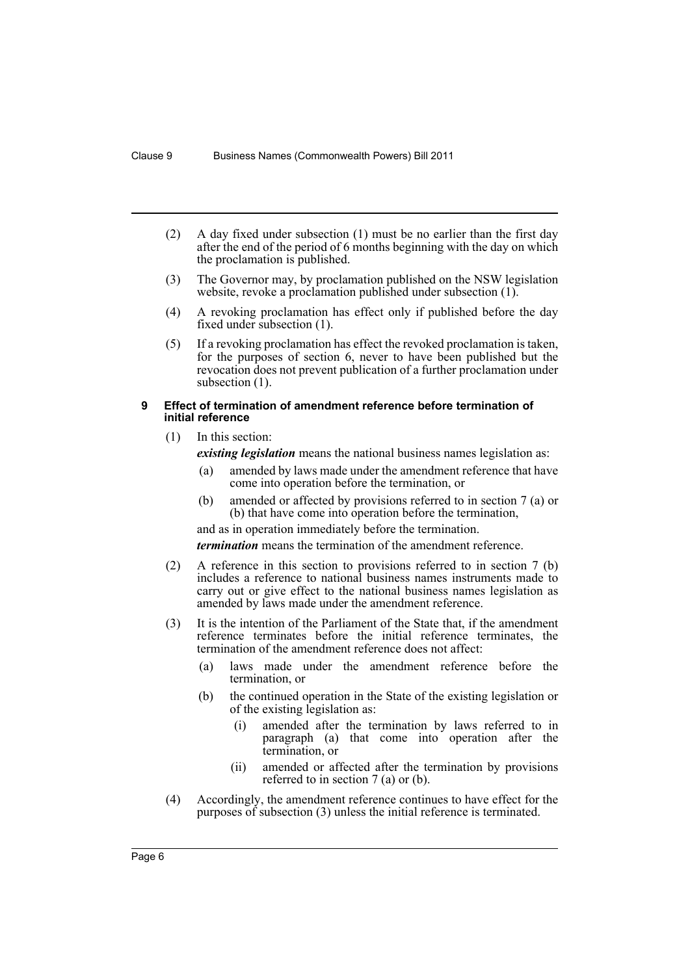- (2) A day fixed under subsection (1) must be no earlier than the first day after the end of the period of 6 months beginning with the day on which the proclamation is published.
- (3) The Governor may, by proclamation published on the NSW legislation website, revoke a proclamation published under subsection (1).
- (4) A revoking proclamation has effect only if published before the day fixed under subsection (1).
- (5) If a revoking proclamation has effect the revoked proclamation is taken, for the purposes of section 6, never to have been published but the revocation does not prevent publication of a further proclamation under subsection  $(1)$ .

#### <span id="page-7-0"></span>**9 Effect of termination of amendment reference before termination of initial reference**

(1) In this section:

*existing legislation* means the national business names legislation as:

- (a) amended by laws made under the amendment reference that have come into operation before the termination, or
- (b) amended or affected by provisions referred to in section 7 (a) or (b) that have come into operation before the termination,

and as in operation immediately before the termination. *termination* means the termination of the amendment reference.

- (2) A reference in this section to provisions referred to in section 7 (b) includes a reference to national business names instruments made to carry out or give effect to the national business names legislation as amended by laws made under the amendment reference.
- (3) It is the intention of the Parliament of the State that, if the amendment reference terminates before the initial reference terminates, the termination of the amendment reference does not affect:
	- (a) laws made under the amendment reference before the termination, or
	- (b) the continued operation in the State of the existing legislation or of the existing legislation as:
		- (i) amended after the termination by laws referred to in paragraph (a) that come into operation after the termination, or
		- (ii) amended or affected after the termination by provisions referred to in section 7 (a) or (b).
- (4) Accordingly, the amendment reference continues to have effect for the purposes of subsection (3) unless the initial reference is terminated.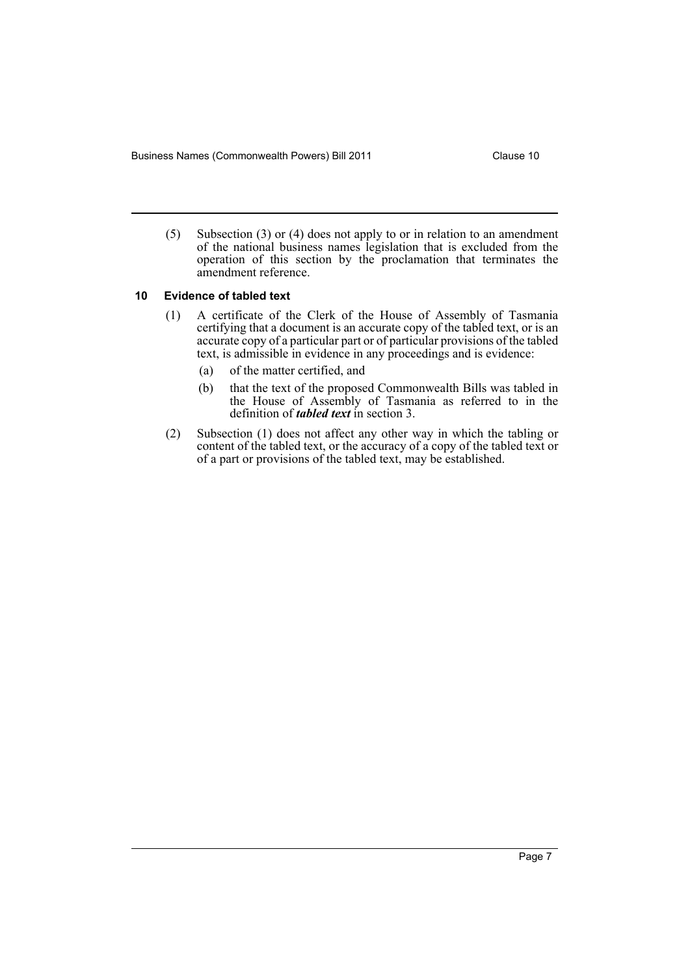Business Names (Commonwealth Powers) Bill 2011 Clause 10

(5) Subsection (3) or (4) does not apply to or in relation to an amendment of the national business names legislation that is excluded from the operation of this section by the proclamation that terminates the amendment reference.

#### <span id="page-8-0"></span>**10 Evidence of tabled text**

- (1) A certificate of the Clerk of the House of Assembly of Tasmania certifying that a document is an accurate copy of the tabled text, or is an accurate copy of a particular part or of particular provisions of the tabled text, is admissible in evidence in any proceedings and is evidence:
	- (a) of the matter certified, and
	- (b) that the text of the proposed Commonwealth Bills was tabled in the House of Assembly of Tasmania as referred to in the definition of *tabled text* in section 3.
- (2) Subsection (1) does not affect any other way in which the tabling or content of the tabled text, or the accuracy of a copy of the tabled text or of a part or provisions of the tabled text, may be established.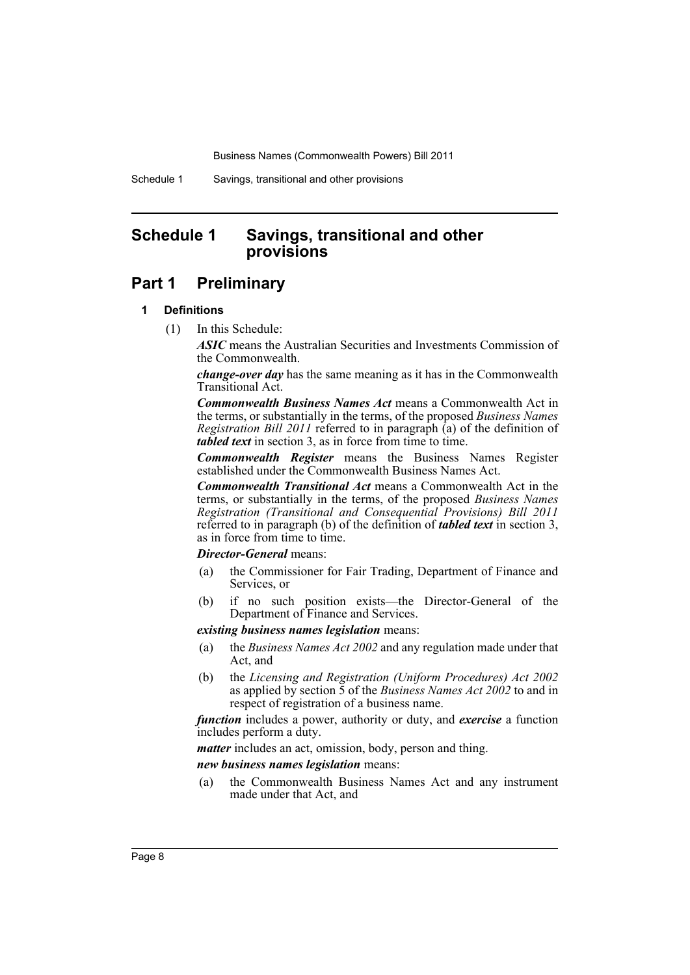Schedule 1 Savings, transitional and other provisions

# <span id="page-9-0"></span>**Schedule 1 Savings, transitional and other provisions**

## **Part 1 Preliminary**

## **1 Definitions**

(1) In this Schedule:

*ASIC* means the Australian Securities and Investments Commission of the Commonwealth.

*change-over day* has the same meaning as it has in the Commonwealth Transitional Act.

*Commonwealth Business Names Act* means a Commonwealth Act in the terms, or substantially in the terms, of the proposed *Business Names Registration Bill 2011* referred to in paragraph (a) of the definition of *tabled text* in section 3, as in force from time to time.

*Commonwealth Register* means the Business Names Register established under the Commonwealth Business Names Act.

*Commonwealth Transitional Act* means a Commonwealth Act in the terms, or substantially in the terms, of the proposed *Business Names Registration (Transitional and Consequential Provisions) Bill 2011* referred to in paragraph (b) of the definition of *tabled text* in section 3, as in force from time to time.

#### *Director-General* means:

- (a) the Commissioner for Fair Trading, Department of Finance and Services, or
- (b) if no such position exists—the Director-General of the Department of Finance and Services.

#### *existing business names legislation* means:

- (a) the *Business Names Act 2002* and any regulation made under that Act, and
- (b) the *Licensing and Registration (Uniform Procedures) Act 2002* as applied by section 5 of the *Business Names Act 2002* to and in respect of registration of a business name.

*function* includes a power, authority or duty, and *exercise* a function includes perform a duty.

*matter* includes an act, omission, body, person and thing.

*new business names legislation* means:

(a) the Commonwealth Business Names Act and any instrument made under that Act, and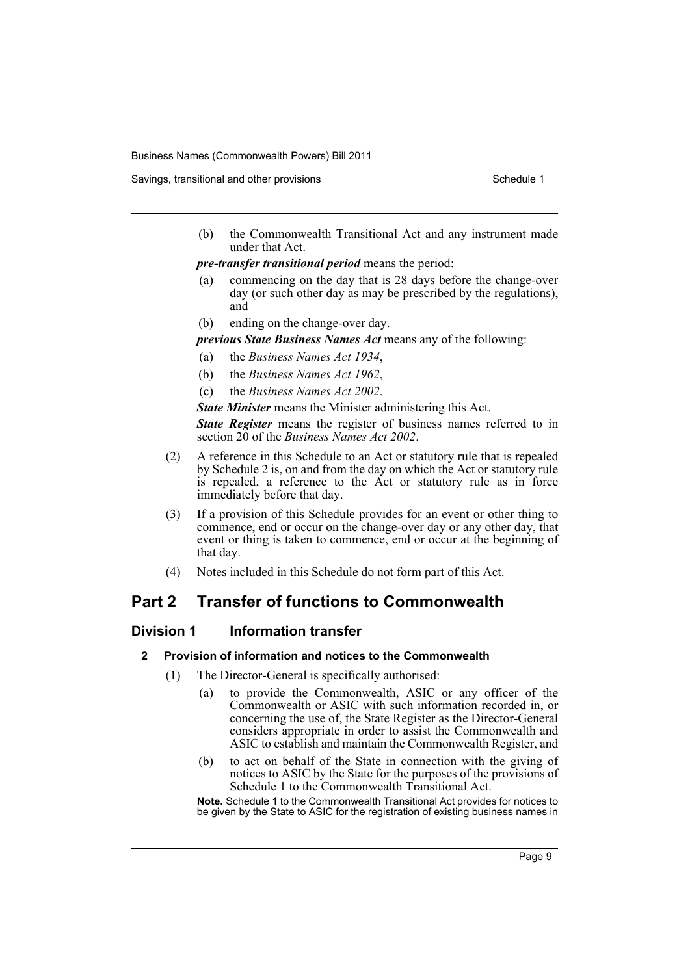Savings, transitional and other provisions Schedule 1 and the state of the Schedule 1

(b) the Commonwealth Transitional Act and any instrument made under that Act.

*pre-transfer transitional period* means the period:

- (a) commencing on the day that is 28 days before the change-over day (or such other day as may be prescribed by the regulations), and
- (b) ending on the change-over day.

*previous State Business Names Act* means any of the following:

- (a) the *Business Names Act 1934*,
- (b) the *Business Names Act 1962*,
- (c) the *Business Names Act 2002*.

*State Minister* means the Minister administering this Act.

*State Register* means the register of business names referred to in section 20 of the *Business Names Act 2002*.

- (2) A reference in this Schedule to an Act or statutory rule that is repealed by Schedule 2 is, on and from the day on which the Act or statutory rule is repealed, a reference to the Act or statutory rule as in force immediately before that day.
- (3) If a provision of this Schedule provides for an event or other thing to commence, end or occur on the change-over day or any other day, that event or thing is taken to commence, end or occur at the beginning of that day.
- (4) Notes included in this Schedule do not form part of this Act.

# **Part 2 Transfer of functions to Commonwealth**

## **Division 1 Information transfer**

## **2 Provision of information and notices to the Commonwealth**

- (1) The Director-General is specifically authorised:
	- (a) to provide the Commonwealth, ASIC or any officer of the Commonwealth or ASIC with such information recorded in, or concerning the use of, the State Register as the Director-General considers appropriate in order to assist the Commonwealth and ASIC to establish and maintain the Commonwealth Register, and
	- (b) to act on behalf of the State in connection with the giving of notices to ASIC by the State for the purposes of the provisions of Schedule 1 to the Commonwealth Transitional Act.

**Note.** Schedule 1 to the Commonwealth Transitional Act provides for notices to be given by the State to ASIC for the registration of existing business names in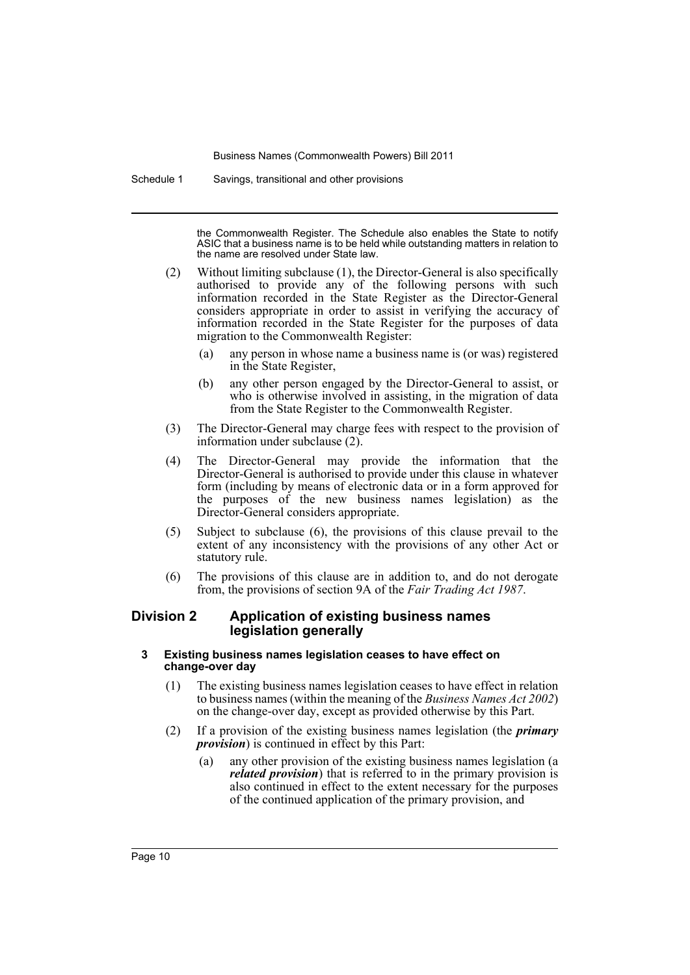Schedule 1 Savings, transitional and other provisions

the Commonwealth Register. The Schedule also enables the State to notify ASIC that a business name is to be held while outstanding matters in relation to the name are resolved under State law.

- (2) Without limiting subclause (1), the Director-General is also specifically authorised to provide any of the following persons with such information recorded in the State Register as the Director-General considers appropriate in order to assist in verifying the accuracy of information recorded in the State Register for the purposes of data migration to the Commonwealth Register:
	- (a) any person in whose name a business name is (or was) registered in the State Register,
	- (b) any other person engaged by the Director-General to assist, or who is otherwise involved in assisting, in the migration of data from the State Register to the Commonwealth Register.
- (3) The Director-General may charge fees with respect to the provision of information under subclause (2).
- (4) The Director-General may provide the information that the Director-General is authorised to provide under this clause in whatever form (including by means of electronic data or in a form approved for the purposes of the new business names legislation) as the Director-General considers appropriate.
- (5) Subject to subclause (6), the provisions of this clause prevail to the extent of any inconsistency with the provisions of any other Act or statutory rule.
- (6) The provisions of this clause are in addition to, and do not derogate from, the provisions of section 9A of the *Fair Trading Act 1987*.

## **Division 2 Application of existing business names legislation generally**

#### **3 Existing business names legislation ceases to have effect on change-over day**

- (1) The existing business names legislation ceases to have effect in relation to business names (within the meaning of the *Business Names Act 2002*) on the change-over day, except as provided otherwise by this Part.
- (2) If a provision of the existing business names legislation (the *primary provision*) is continued in effect by this Part:
	- (a) any other provision of the existing business names legislation (a *related provision*) that is referred to in the primary provision is also continued in effect to the extent necessary for the purposes of the continued application of the primary provision, and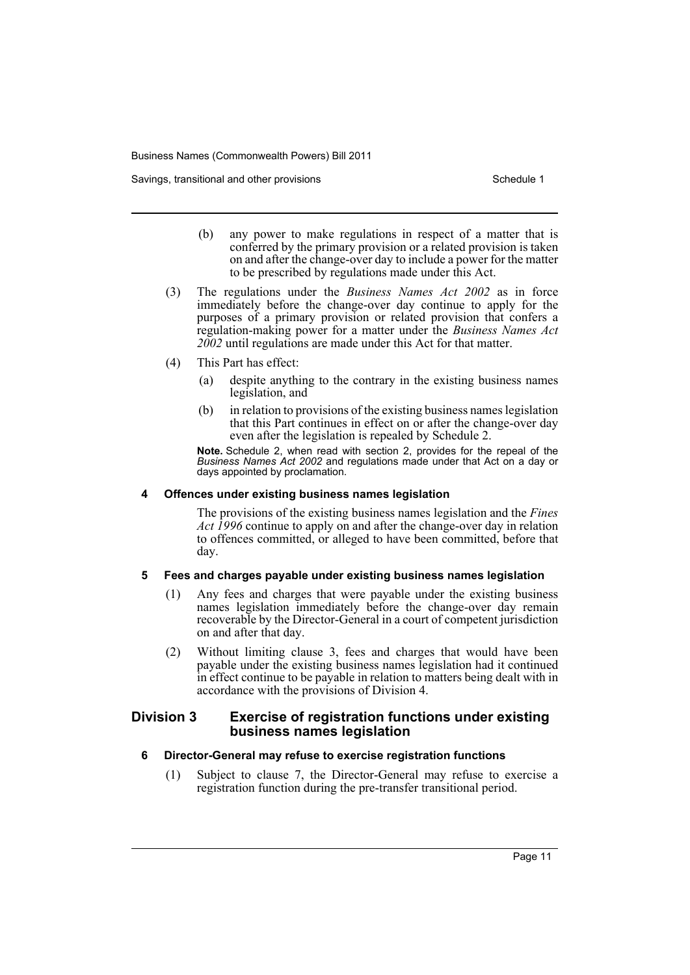Savings, transitional and other provisions Schedule 1 and the state of the Schedule 1

- (b) any power to make regulations in respect of a matter that is conferred by the primary provision or a related provision is taken on and after the change-over day to include a power for the matter to be prescribed by regulations made under this Act.
- (3) The regulations under the *Business Names Act 2002* as in force immediately before the change-over day continue to apply for the purposes of a primary provision or related provision that confers a regulation-making power for a matter under the *Business Names Act 2002* until regulations are made under this Act for that matter.
- (4) This Part has effect:
	- (a) despite anything to the contrary in the existing business names legislation, and
	- (b) in relation to provisions of the existing business names legislation that this Part continues in effect on or after the change-over day even after the legislation is repealed by Schedule 2.

**Note.** Schedule 2, when read with section 2, provides for the repeal of the *Business Names Act 2002* and regulations made under that Act on a day or days appointed by proclamation.

#### **4 Offences under existing business names legislation**

The provisions of the existing business names legislation and the *Fines Act 1996* continue to apply on and after the change-over day in relation to offences committed, or alleged to have been committed, before that day.

#### **5 Fees and charges payable under existing business names legislation**

- (1) Any fees and charges that were payable under the existing business names legislation immediately before the change-over day remain recoverable by the Director-General in a court of competent jurisdiction on and after that day.
- (2) Without limiting clause 3, fees and charges that would have been payable under the existing business names legislation had it continued in effect continue to be payable in relation to matters being dealt with in accordance with the provisions of Division 4.

## **Division 3 Exercise of registration functions under existing business names legislation**

## **6 Director-General may refuse to exercise registration functions**

(1) Subject to clause 7, the Director-General may refuse to exercise a registration function during the pre-transfer transitional period.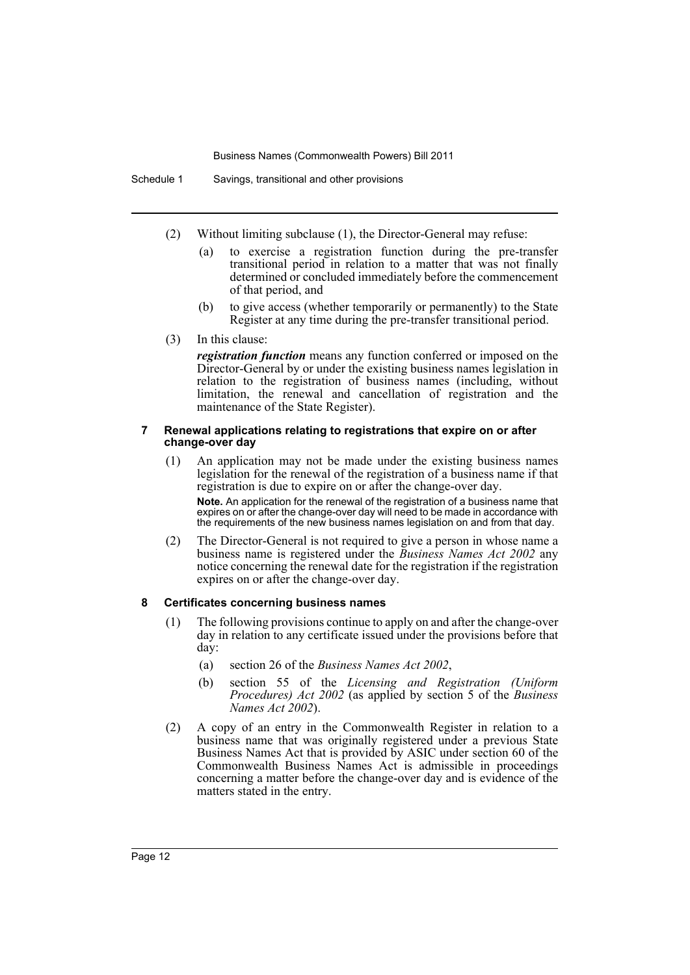Schedule 1 Savings, transitional and other provisions

(2) Without limiting subclause (1), the Director-General may refuse:

- (a) to exercise a registration function during the pre-transfer transitional period in relation to a matter that was not finally determined or concluded immediately before the commencement of that period, and
- (b) to give access (whether temporarily or permanently) to the State Register at any time during the pre-transfer transitional period.

#### (3) In this clause:

*registration function* means any function conferred or imposed on the Director-General by or under the existing business names legislation in relation to the registration of business names (including, without limitation, the renewal and cancellation of registration and the maintenance of the State Register).

#### **7 Renewal applications relating to registrations that expire on or after change-over day**

(1) An application may not be made under the existing business names legislation for the renewal of the registration of a business name if that registration is due to expire on or after the change-over day.

**Note.** An application for the renewal of the registration of a business name that expires on or after the change-over day will need to be made in accordance with the requirements of the new business names legislation on and from that day.

(2) The Director-General is not required to give a person in whose name a business name is registered under the *Business Names Act 2002* any notice concerning the renewal date for the registration if the registration expires on or after the change-over day.

#### **8 Certificates concerning business names**

- (1) The following provisions continue to apply on and after the change-over day in relation to any certificate issued under the provisions before that day:
	- (a) section 26 of the *Business Names Act 2002*,
	- (b) section 55 of the *Licensing and Registration (Uniform Procedures) Act 2002* (as applied by section 5 of the *Business Names Act 2002*).
- (2) A copy of an entry in the Commonwealth Register in relation to a business name that was originally registered under a previous State Business Names Act that is provided by ASIC under section 60 of the Commonwealth Business Names Act is admissible in proceedings concerning a matter before the change-over day and is evidence of the matters stated in the entry.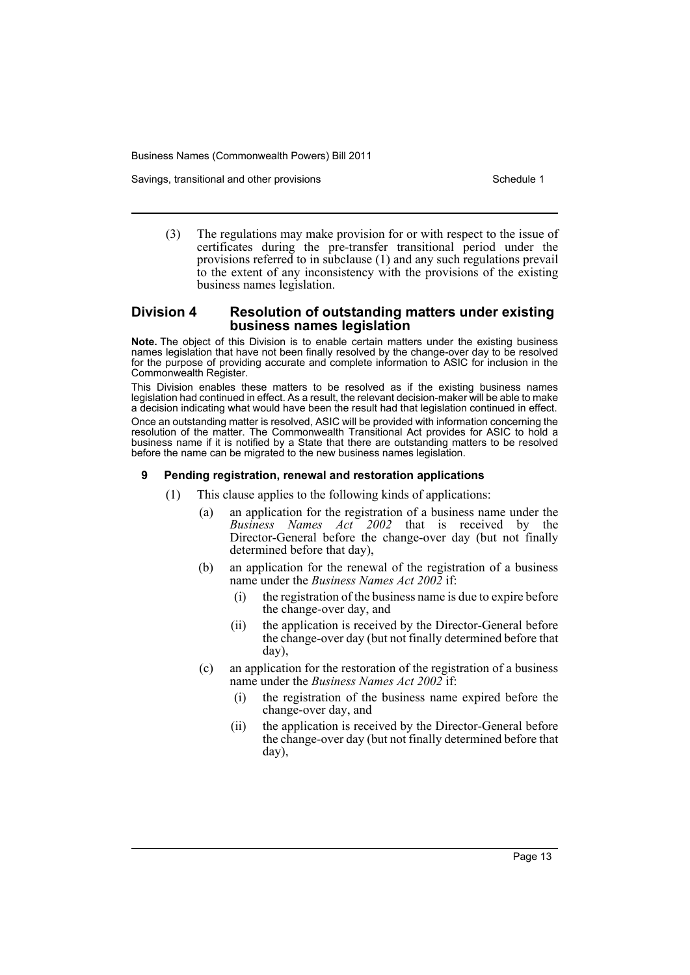Savings, transitional and other provisions Schedule 1 and the state of the Schedule 1

(3) The regulations may make provision for or with respect to the issue of certificates during the pre-transfer transitional period under the provisions referred to in subclause (1) and any such regulations prevail to the extent of any inconsistency with the provisions of the existing business names legislation.

## **Division 4 Resolution of outstanding matters under existing business names legislation**

**Note.** The object of this Division is to enable certain matters under the existing business names legislation that have not been finally resolved by the change-over day to be resolved for the purpose of providing accurate and complete information to ASIC for inclusion in the Commonwealth Register.

This Division enables these matters to be resolved as if the existing business names legislation had continued in effect. As a result, the relevant decision-maker will be able to make a decision indicating what would have been the result had that legislation continued in effect. Once an outstanding matter is resolved, ASIC will be provided with information concerning the resolution of the matter. The Commonwealth Transitional Act provides for ASIC to hold a business name if it is notified by a State that there are outstanding matters to be resolved before the name can be migrated to the new business names legislation.

## **9 Pending registration, renewal and restoration applications**

- (1) This clause applies to the following kinds of applications:
	- (a) an application for the registration of a business name under the *Business Names Act 2002* that is received by the Director-General before the change-over day (but not finally determined before that day),
	- (b) an application for the renewal of the registration of a business name under the *Business Names Act 2002* if:
		- the registration of the business name is due to expire before the change-over day, and
		- (ii) the application is received by the Director-General before the change-over day (but not finally determined before that day),
	- (c) an application for the restoration of the registration of a business name under the *Business Names Act 2002* if:
		- (i) the registration of the business name expired before the change-over day, and
		- (ii) the application is received by the Director-General before the change-over day (but not finally determined before that day),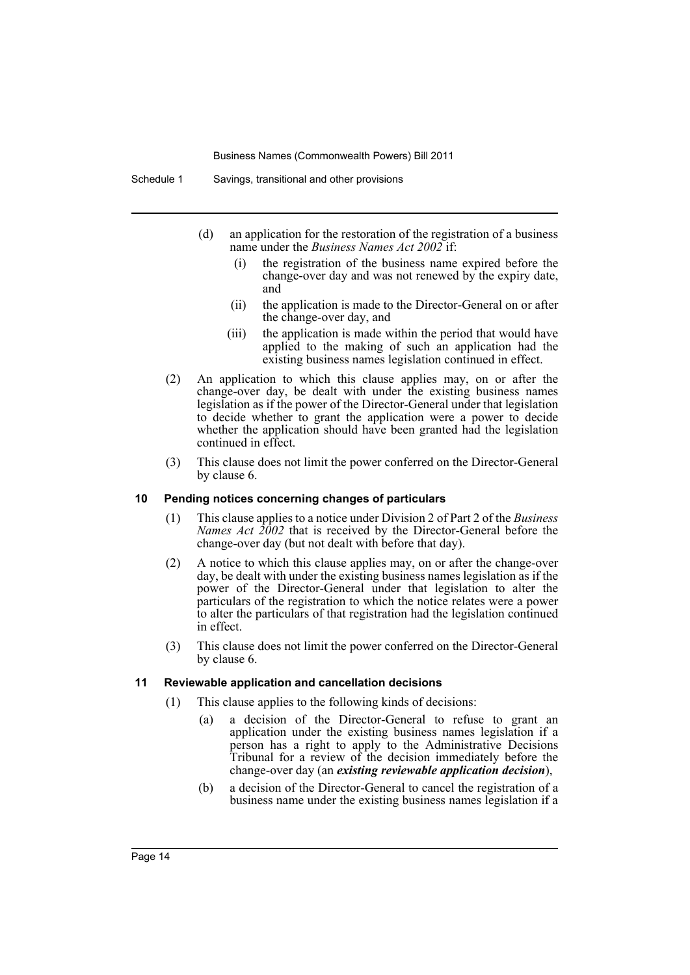- (d) an application for the restoration of the registration of a business name under the *Business Names Act 2002* if:
	- (i) the registration of the business name expired before the change-over day and was not renewed by the expiry date, and
	- (ii) the application is made to the Director-General on or after the change-over day, and
	- (iii) the application is made within the period that would have applied to the making of such an application had the existing business names legislation continued in effect.
- (2) An application to which this clause applies may, on or after the change-over day, be dealt with under the existing business names legislation as if the power of the Director-General under that legislation to decide whether to grant the application were a power to decide whether the application should have been granted had the legislation continued in effect.
- (3) This clause does not limit the power conferred on the Director-General by clause 6.

#### **10 Pending notices concerning changes of particulars**

- (1) This clause applies to a notice under Division 2 of Part 2 of the *Business Names Act 2002* that is received by the Director-General before the change-over day (but not dealt with before that day).
- (2) A notice to which this clause applies may, on or after the change-over day, be dealt with under the existing business names legislation as if the power of the Director-General under that legislation to alter the particulars of the registration to which the notice relates were a power to alter the particulars of that registration had the legislation continued in effect.
- (3) This clause does not limit the power conferred on the Director-General by clause 6.

#### **11 Reviewable application and cancellation decisions**

- (1) This clause applies to the following kinds of decisions:
	- (a) a decision of the Director-General to refuse to grant an application under the existing business names legislation if a person has a right to apply to the Administrative Decisions Tribunal for a review of the decision immediately before the change-over day (an *existing reviewable application decision*),
	- (b) a decision of the Director-General to cancel the registration of a business name under the existing business names legislation if a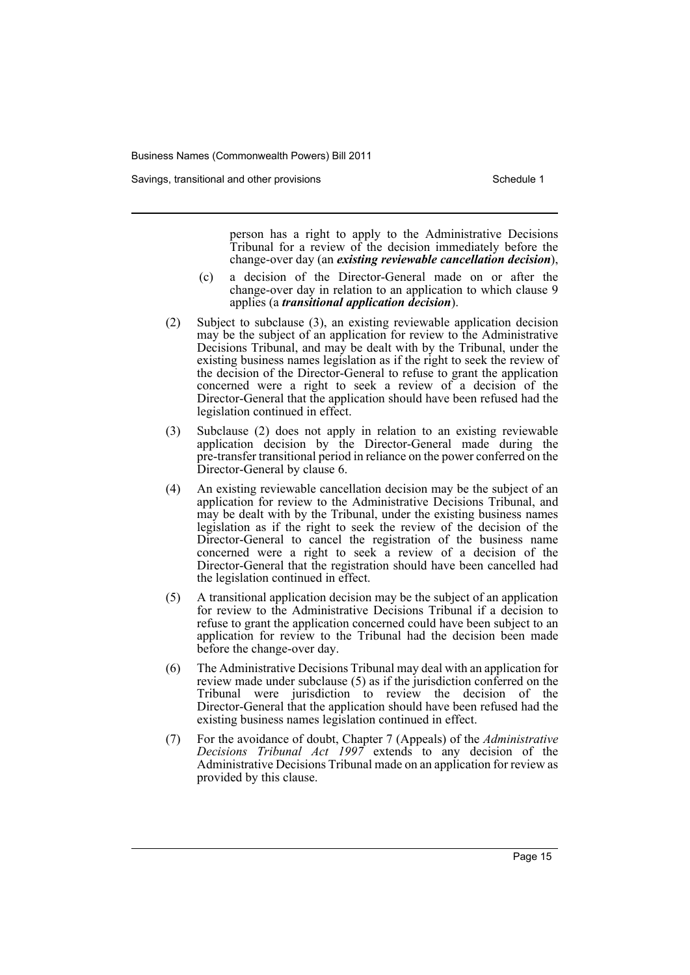Savings, transitional and other provisions Schedule 1 and the state of the Schedule 1

person has a right to apply to the Administrative Decisions Tribunal for a review of the decision immediately before the change-over day (an *existing reviewable cancellation decision*),

- (c) a decision of the Director-General made on or after the change-over day in relation to an application to which clause 9 applies (a *transitional application decision*).
- (2) Subject to subclause (3), an existing reviewable application decision may be the subject of an application for review to the Administrative Decisions Tribunal, and may be dealt with by the Tribunal, under the existing business names legislation as if the right to seek the review of the decision of the Director-General to refuse to grant the application concerned were a right to seek a review of a decision of the Director-General that the application should have been refused had the legislation continued in effect.
- (3) Subclause (2) does not apply in relation to an existing reviewable application decision by the Director-General made during the pre-transfer transitional period in reliance on the power conferred on the Director-General by clause 6.
- (4) An existing reviewable cancellation decision may be the subject of an application for review to the Administrative Decisions Tribunal, and may be dealt with by the Tribunal, under the existing business names legislation as if the right to seek the review of the decision of the Director-General to cancel the registration of the business name concerned were a right to seek a review of a decision of the Director-General that the registration should have been cancelled had the legislation continued in effect.
- (5) A transitional application decision may be the subject of an application for review to the Administrative Decisions Tribunal if a decision to refuse to grant the application concerned could have been subject to an application for review to the Tribunal had the decision been made before the change-over day.
- (6) The Administrative Decisions Tribunal may deal with an application for review made under subclause (5) as if the jurisdiction conferred on the Tribunal were jurisdiction to review the decision of the Director-General that the application should have been refused had the existing business names legislation continued in effect.
- (7) For the avoidance of doubt, Chapter 7 (Appeals) of the *Administrative Decisions Tribunal Act 1997* extends to any decision of the Administrative Decisions Tribunal made on an application for review as provided by this clause.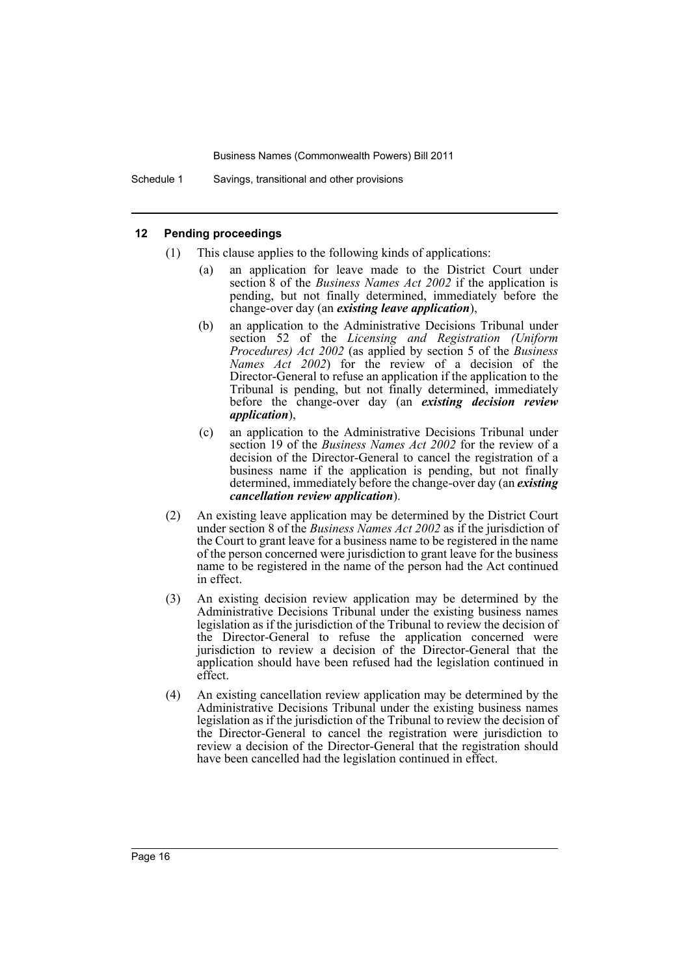Schedule 1 Savings, transitional and other provisions

#### **12 Pending proceedings**

- (1) This clause applies to the following kinds of applications:
	- (a) an application for leave made to the District Court under section 8 of the *Business Names Act 2002* if the application is pending, but not finally determined, immediately before the change-over day (an *existing leave application*),
	- (b) an application to the Administrative Decisions Tribunal under section 52 of the *Licensing and Registration (Uniform Procedures) Act 2002* (as applied by section 5 of the *Business Names Act 2002*) for the review of a decision of the Director-General to refuse an application if the application to the Tribunal is pending, but not finally determined, immediately before the change-over day (an *existing decision review application*),
	- (c) an application to the Administrative Decisions Tribunal under section 19 of the *Business Names Act 2002* for the review of a decision of the Director-General to cancel the registration of a business name if the application is pending, but not finally determined, immediately before the change-over day (an *existing cancellation review application*).
- (2) An existing leave application may be determined by the District Court under section 8 of the *Business Names Act 2002* as if the jurisdiction of the Court to grant leave for a business name to be registered in the name of the person concerned were jurisdiction to grant leave for the business name to be registered in the name of the person had the Act continued in effect.
- (3) An existing decision review application may be determined by the Administrative Decisions Tribunal under the existing business names legislation as if the jurisdiction of the Tribunal to review the decision of the Director-General to refuse the application concerned were jurisdiction to review a decision of the Director-General that the application should have been refused had the legislation continued in effect.
- (4) An existing cancellation review application may be determined by the Administrative Decisions Tribunal under the existing business names legislation as if the jurisdiction of the Tribunal to review the decision of the Director-General to cancel the registration were jurisdiction to review a decision of the Director-General that the registration should have been cancelled had the legislation continued in effect.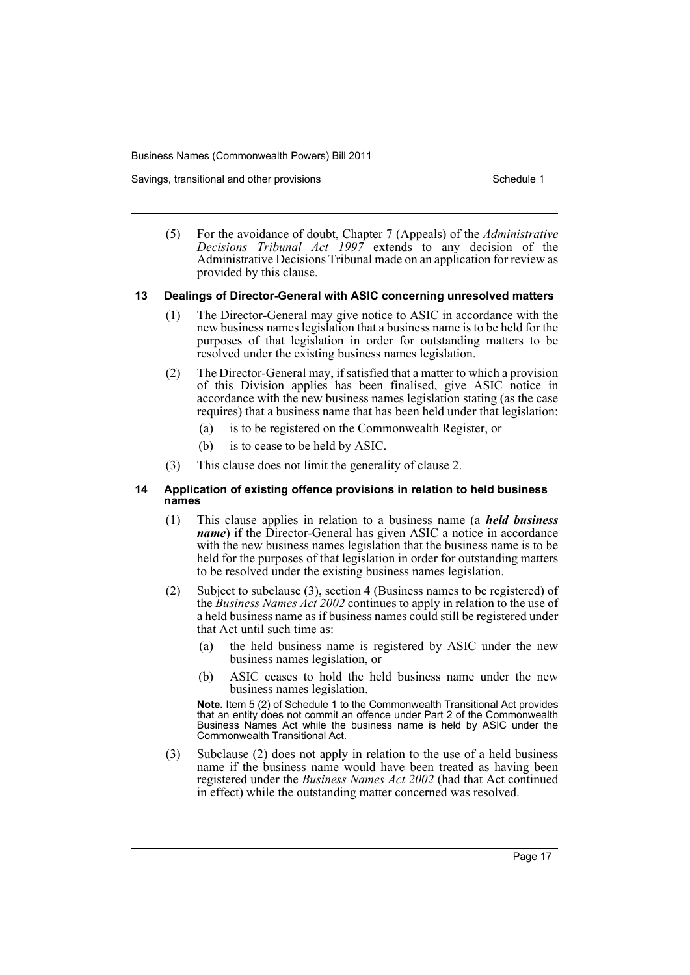Savings, transitional and other provisions Schedule 1 and the state of the Schedule 1

(5) For the avoidance of doubt, Chapter 7 (Appeals) of the *Administrative Decisions Tribunal Act 1997* extends to any decision of the Administrative Decisions Tribunal made on an application for review as provided by this clause.

#### **13 Dealings of Director-General with ASIC concerning unresolved matters**

- (1) The Director-General may give notice to ASIC in accordance with the new business names legislation that a business name is to be held for the purposes of that legislation in order for outstanding matters to be resolved under the existing business names legislation.
- (2) The Director-General may, if satisfied that a matter to which a provision of this Division applies has been finalised, give ASIC notice in accordance with the new business names legislation stating (as the case requires) that a business name that has been held under that legislation:
	- (a) is to be registered on the Commonwealth Register, or
	- (b) is to cease to be held by ASIC.
- (3) This clause does not limit the generality of clause 2.

#### **14 Application of existing offence provisions in relation to held business names**

- (1) This clause applies in relation to a business name (a *held business name*) if the Director-General has given ASIC a notice in accordance with the new business names legislation that the business name is to be held for the purposes of that legislation in order for outstanding matters to be resolved under the existing business names legislation.
- (2) Subject to subclause (3), section 4 (Business names to be registered) of the *Business Names Act 2002* continues to apply in relation to the use of a held business name as if business names could still be registered under that Act until such time as:
	- (a) the held business name is registered by ASIC under the new business names legislation, or
	- (b) ASIC ceases to hold the held business name under the new business names legislation.

**Note.** Item 5 (2) of Schedule 1 to the Commonwealth Transitional Act provides that an entity does not commit an offence under Part 2 of the Commonwealth Business Names Act while the business name is held by ASIC under the Commonwealth Transitional Act.

(3) Subclause (2) does not apply in relation to the use of a held business name if the business name would have been treated as having been registered under the *Business Names Act 2002* (had that Act continued in effect) while the outstanding matter concerned was resolved.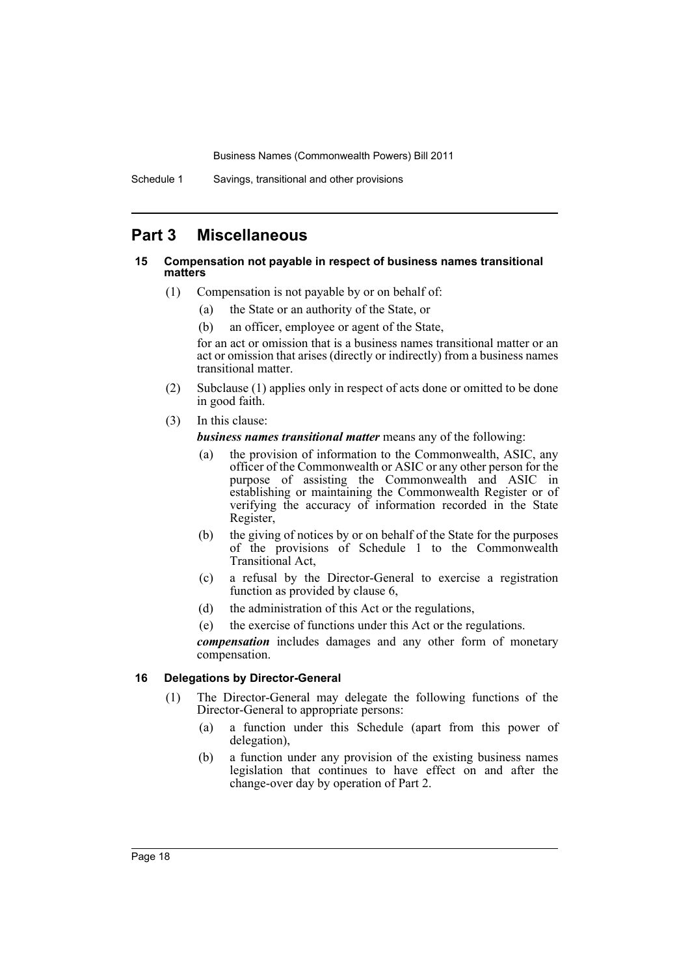Schedule 1 Savings, transitional and other provisions

# **Part 3 Miscellaneous**

## **15 Compensation not payable in respect of business names transitional matters**

- (1) Compensation is not payable by or on behalf of:
	- (a) the State or an authority of the State, or
	- (b) an officer, employee or agent of the State,

for an act or omission that is a business names transitional matter or an act or omission that arises (directly or indirectly) from a business names transitional matter.

- (2) Subclause (1) applies only in respect of acts done or omitted to be done in good faith.
- (3) In this clause:

*business names transitional matter* means any of the following:

- (a) the provision of information to the Commonwealth, ASIC, any officer of the Commonwealth or ASIC or any other person for the purpose of assisting the Commonwealth and ASIC in establishing or maintaining the Commonwealth Register or of verifying the accuracy of information recorded in the State Register,
- (b) the giving of notices by or on behalf of the State for the purposes of the provisions of Schedule 1 to the Commonwealth Transitional Act,
- (c) a refusal by the Director-General to exercise a registration function as provided by clause 6,
- (d) the administration of this Act or the regulations,
- (e) the exercise of functions under this Act or the regulations.

*compensation* includes damages and any other form of monetary compensation.

## **16 Delegations by Director-General**

- (1) The Director-General may delegate the following functions of the Director-General to appropriate persons:
	- (a) a function under this Schedule (apart from this power of delegation),
	- (b) a function under any provision of the existing business names legislation that continues to have effect on and after the change-over day by operation of Part 2.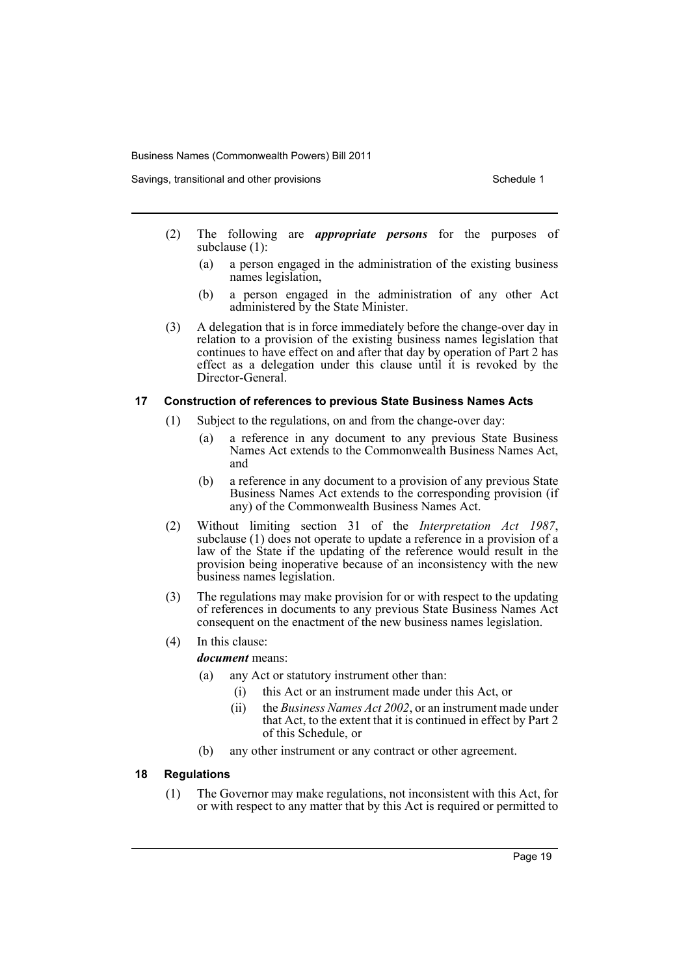Savings, transitional and other provisions Schedule 1 and the state of the Schedule 1

- (2) The following are *appropriate persons* for the purposes of subclause (1):
	- (a) a person engaged in the administration of the existing business names legislation,
	- (b) a person engaged in the administration of any other Act administered by the State Minister.
- (3) A delegation that is in force immediately before the change-over day in relation to a provision of the existing business names legislation that continues to have effect on and after that day by operation of Part 2 has effect as a delegation under this clause until it is revoked by the Director-General.

## **17 Construction of references to previous State Business Names Acts**

- (1) Subject to the regulations, on and from the change-over day:
	- (a) a reference in any document to any previous State Business Names Act extends to the Commonwealth Business Names Act, and
	- (b) a reference in any document to a provision of any previous State Business Names Act extends to the corresponding provision (if any) of the Commonwealth Business Names Act.
- (2) Without limiting section 31 of the *Interpretation Act 1987*, subclause (1) does not operate to update a reference in a provision of a law of the State if the updating of the reference would result in the provision being inoperative because of an inconsistency with the new business names legislation.
- (3) The regulations may make provision for or with respect to the updating of references in documents to any previous State Business Names Act consequent on the enactment of the new business names legislation.
- (4) In this clause:

*document* means:

- (a) any Act or statutory instrument other than:
	- (i) this Act or an instrument made under this Act, or
	- (ii) the *Business Names Act 2002*, or an instrument made under that Act, to the extent that it is continued in effect by Part 2 of this Schedule, or
- (b) any other instrument or any contract or other agreement.

## **18 Regulations**

(1) The Governor may make regulations, not inconsistent with this Act, for or with respect to any matter that by this Act is required or permitted to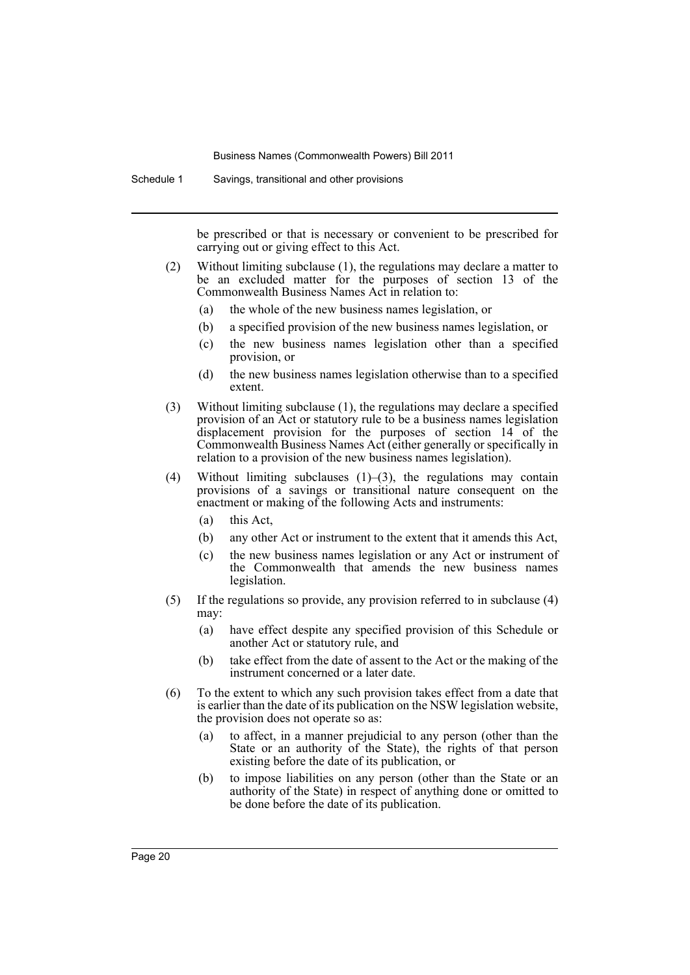Schedule 1 Savings, transitional and other provisions

be prescribed or that is necessary or convenient to be prescribed for carrying out or giving effect to this Act.

- (2) Without limiting subclause (1), the regulations may declare a matter to be an excluded matter for the purposes of section 13 of the Commonwealth Business Names Act in relation to:
	- (a) the whole of the new business names legislation, or
	- (b) a specified provision of the new business names legislation, or
	- (c) the new business names legislation other than a specified provision, or
	- (d) the new business names legislation otherwise than to a specified extent.
- (3) Without limiting subclause (1), the regulations may declare a specified provision of an Act or statutory rule to be a business names legislation displacement provision for the purposes of section 14 of the Commonwealth Business Names Act (either generally or specifically in relation to a provision of the new business names legislation).
- (4) Without limiting subclauses (1)–(3), the regulations may contain provisions of a savings or transitional nature consequent on the enactment or making of the following Acts and instruments:
	- (a) this Act,
	- (b) any other Act or instrument to the extent that it amends this Act,
	- (c) the new business names legislation or any Act or instrument of the Commonwealth that amends the new business names legislation.
- (5) If the regulations so provide, any provision referred to in subclause (4) may:
	- (a) have effect despite any specified provision of this Schedule or another Act or statutory rule, and
	- (b) take effect from the date of assent to the Act or the making of the instrument concerned or a later date.
- (6) To the extent to which any such provision takes effect from a date that is earlier than the date of its publication on the NSW legislation website, the provision does not operate so as:
	- (a) to affect, in a manner prejudicial to any person (other than the State or an authority of the State), the rights of that person existing before the date of its publication, or
	- (b) to impose liabilities on any person (other than the State or an authority of the State) in respect of anything done or omitted to be done before the date of its publication.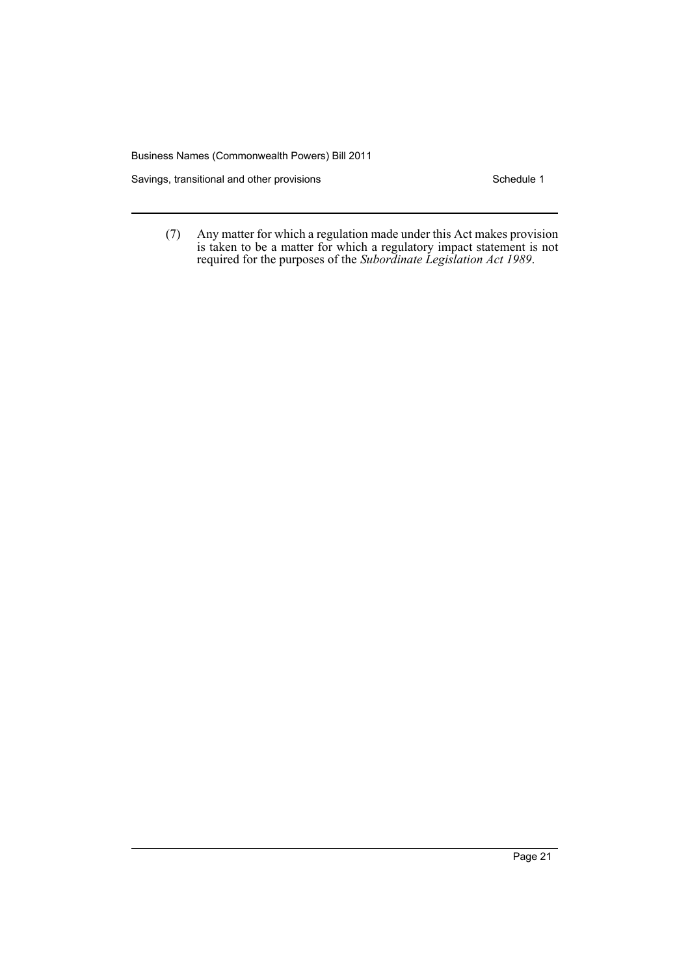Savings, transitional and other provisions Schedule 1

(7) Any matter for which a regulation made under this Act makes provision is taken to be a matter for which a regulatory impact statement is not required for the purposes of the *Subordinate Legislation Act 1989*.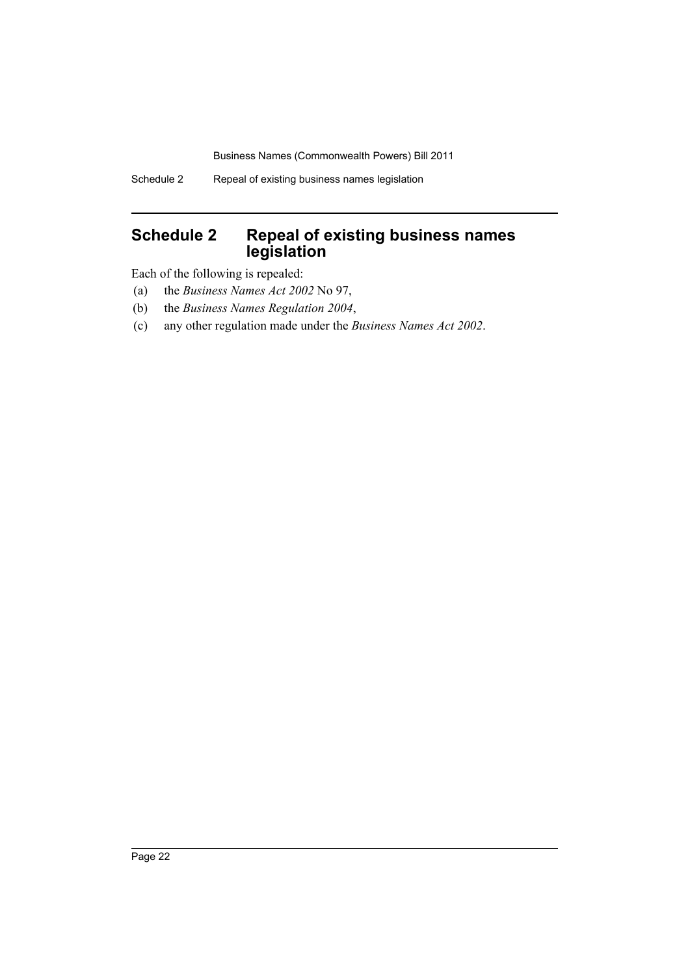# <span id="page-23-0"></span>**Schedule 2 Repeal of existing business names legislation**

Each of the following is repealed:

- (a) the *Business Names Act 2002* No 97,
- (b) the *Business Names Regulation 2004*,
- (c) any other regulation made under the *Business Names Act 2002*.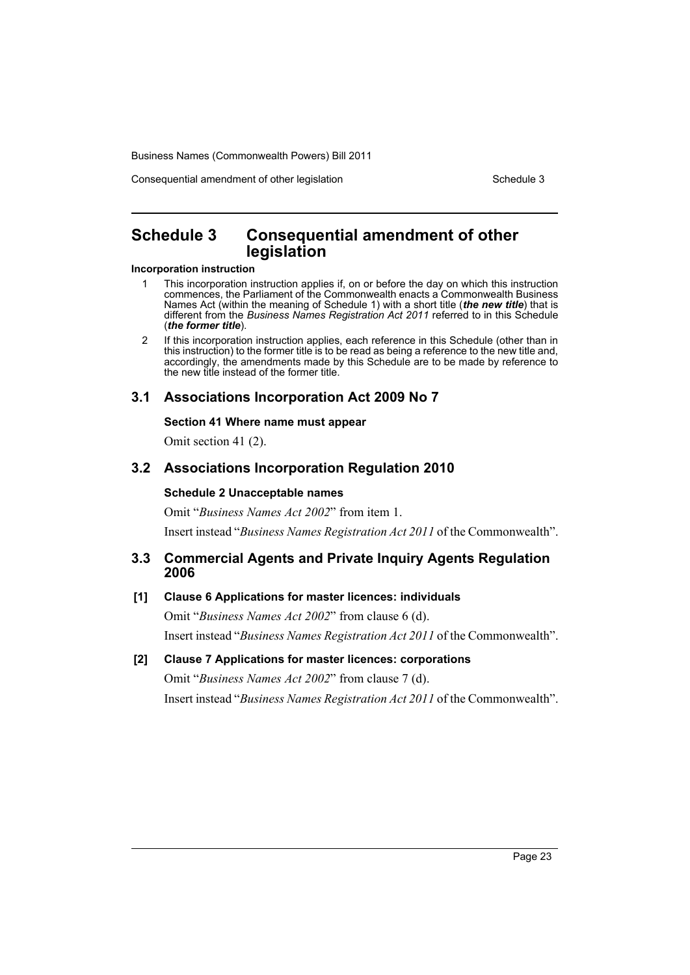Consequential amendment of other legislation Schedule 3

# <span id="page-24-0"></span>**Schedule 3 Consequential amendment of other legislation**

#### **Incorporation instruction**

- 1 This incorporation instruction applies if, on or before the day on which this instruction commences, the Parliament of the Commonwealth enacts a Commonwealth Business Names Act (within the meaning of Schedule 1) with a short title (*the new title*) that is different from the *Business Names Registration Act 2011* referred to in this Schedule (*the former title*).
- 2 If this incorporation instruction applies, each reference in this Schedule (other than in this instruction) to the former title is to be read as being a reference to the new title and, accordingly, the amendments made by this Schedule are to be made by reference to the new title instead of the former title.

## **3.1 Associations Incorporation Act 2009 No 7**

## **Section 41 Where name must appear**

Omit section 41 (2).

## **3.2 Associations Incorporation Regulation 2010**

## **Schedule 2 Unacceptable names**

Omit "*Business Names Act 2002*" from item 1. Insert instead "*Business Names Registration Act 2011* of the Commonwealth".

## **3.3 Commercial Agents and Private Inquiry Agents Regulation 2006**

## **[1] Clause 6 Applications for master licences: individuals**

Omit "*Business Names Act 2002*" from clause 6 (d). Insert instead "*Business Names Registration Act 2011* of the Commonwealth".

## **[2] Clause 7 Applications for master licences: corporations**

Omit "*Business Names Act 2002*" from clause 7 (d). Insert instead "*Business Names Registration Act 2011* of the Commonwealth".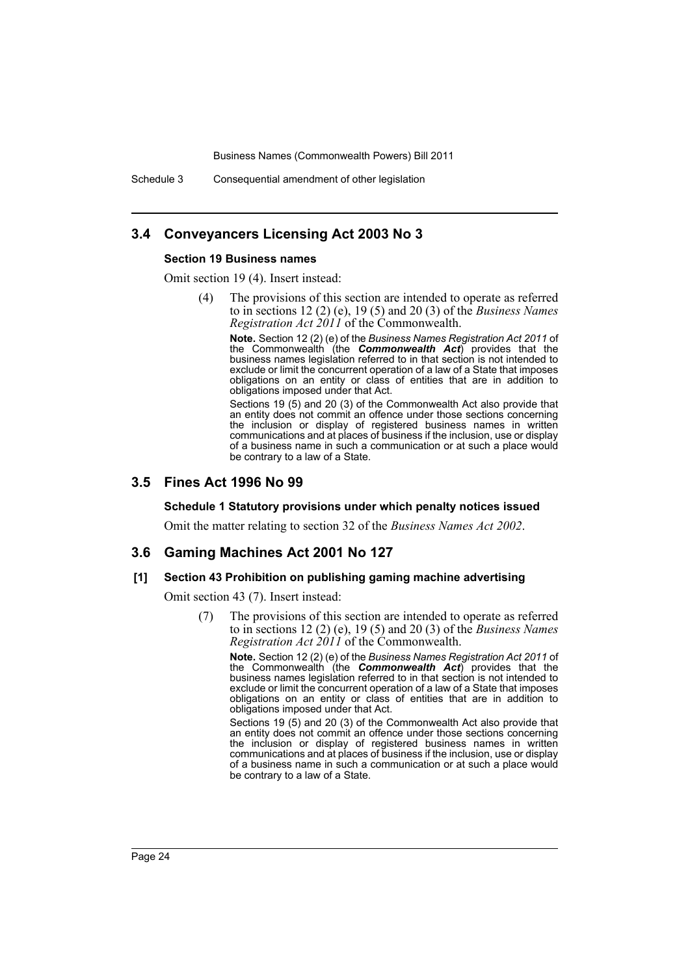Schedule 3 Consequential amendment of other legislation

## **3.4 Conveyancers Licensing Act 2003 No 3**

#### **Section 19 Business names**

Omit section 19 (4). Insert instead:

(4) The provisions of this section are intended to operate as referred to in sections 12 (2) (e), 19 (5) and 20 (3) of the *Business Names Registration Act 2011* of the Commonwealth.

**Note.** Section 12 (2) (e) of the *Business Names Registration Act 2011* of the Commonwealth (the *Commonwealth Act*) provides that the business names legislation referred to in that section is not intended to exclude or limit the concurrent operation of a law of a State that imposes obligations on an entity or class of entities that are in addition to obligations imposed under that Act.

Sections 19 (5) and 20 (3) of the Commonwealth Act also provide that an entity does not commit an offence under those sections concerning the inclusion or display of registered business names in written communications and at places of business if the inclusion, use or display of a business name in such a communication or at such a place would be contrary to a law of a State.

## **3.5 Fines Act 1996 No 99**

#### **Schedule 1 Statutory provisions under which penalty notices issued**

Omit the matter relating to section 32 of the *Business Names Act 2002*.

## **3.6 Gaming Machines Act 2001 No 127**

#### **[1] Section 43 Prohibition on publishing gaming machine advertising**

Omit section 43 (7). Insert instead:

(7) The provisions of this section are intended to operate as referred to in sections 12 (2) (e), 19 (5) and 20 (3) of the *Business Names Registration Act 2011* of the Commonwealth.

**Note.** Section 12 (2) (e) of the *Business Names Registration Act 2011* of the Commonwealth (the *Commonwealth Act*) provides that the business names legislation referred to in that section is not intended to exclude or limit the concurrent operation of a law of a State that imposes obligations on an entity or class of entities that are in addition to obligations imposed under that Act.

Sections 19 (5) and 20 (3) of the Commonwealth Act also provide that an entity does not commit an offence under those sections concerning the inclusion or display of registered business names in written communications and at places of business if the inclusion, use or display of a business name in such a communication or at such a place would be contrary to a law of a State.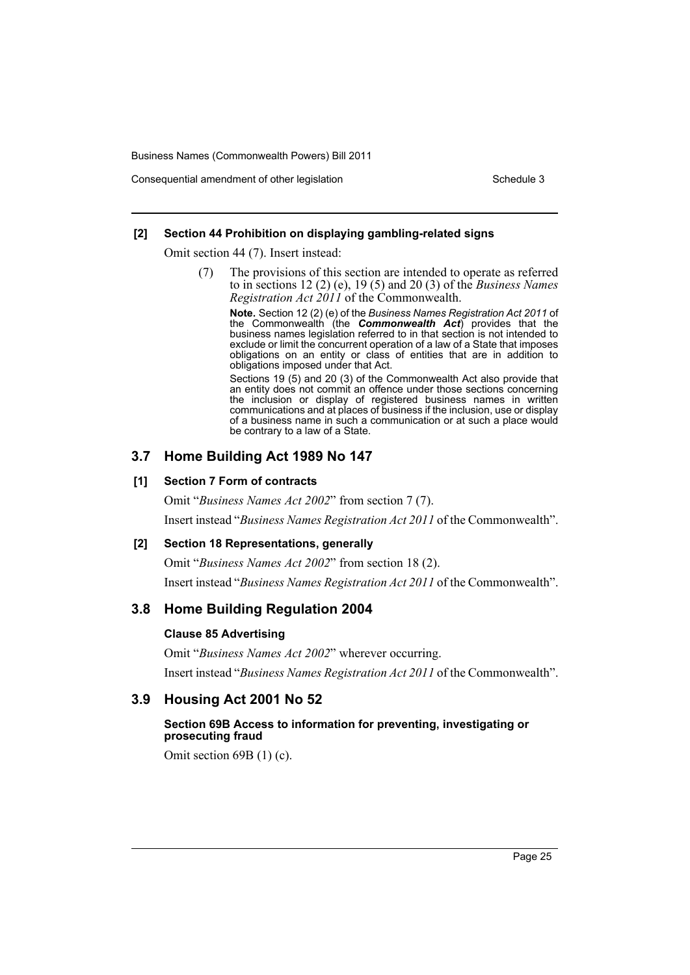Consequential amendment of other legislation Schedule 3 Schedule 3

## **[2] Section 44 Prohibition on displaying gambling-related signs**

Omit section 44 (7). Insert instead:

(7) The provisions of this section are intended to operate as referred to in sections 12 (2) (e), 19 (5) and 20 (3) of the *Business Names Registration Act 2011* of the Commonwealth.

**Note.** Section 12 (2) (e) of the *Business Names Registration Act 2011* of the Commonwealth (the *Commonwealth Act*) provides that the business names legislation referred to in that section is not intended to exclude or limit the concurrent operation of a law of a State that imposes obligations on an entity or class of entities that are in addition to obligations imposed under that Act.

Sections 19 (5) and 20 (3) of the Commonwealth Act also provide that an entity does not commit an offence under those sections concerning the inclusion or display of registered business names in written communications and at places of business if the inclusion, use or display of a business name in such a communication or at such a place would be contrary to a law of a State.

## **3.7 Home Building Act 1989 No 147**

## **[1] Section 7 Form of contracts**

Omit "*Business Names Act 2002*" from section 7 (7). Insert instead "*Business Names Registration Act 2011* of the Commonwealth".

## **[2] Section 18 Representations, generally**

Omit "*Business Names Act 2002*" from section 18 (2).

Insert instead "*Business Names Registration Act 2011* of the Commonwealth".

# **3.8 Home Building Regulation 2004**

## **Clause 85 Advertising**

Omit "*Business Names Act 2002*" wherever occurring. Insert instead "*Business Names Registration Act 2011* of the Commonwealth".

# **3.9 Housing Act 2001 No 52**

## **Section 69B Access to information for preventing, investigating or prosecuting fraud**

Omit section 69B (1) (c).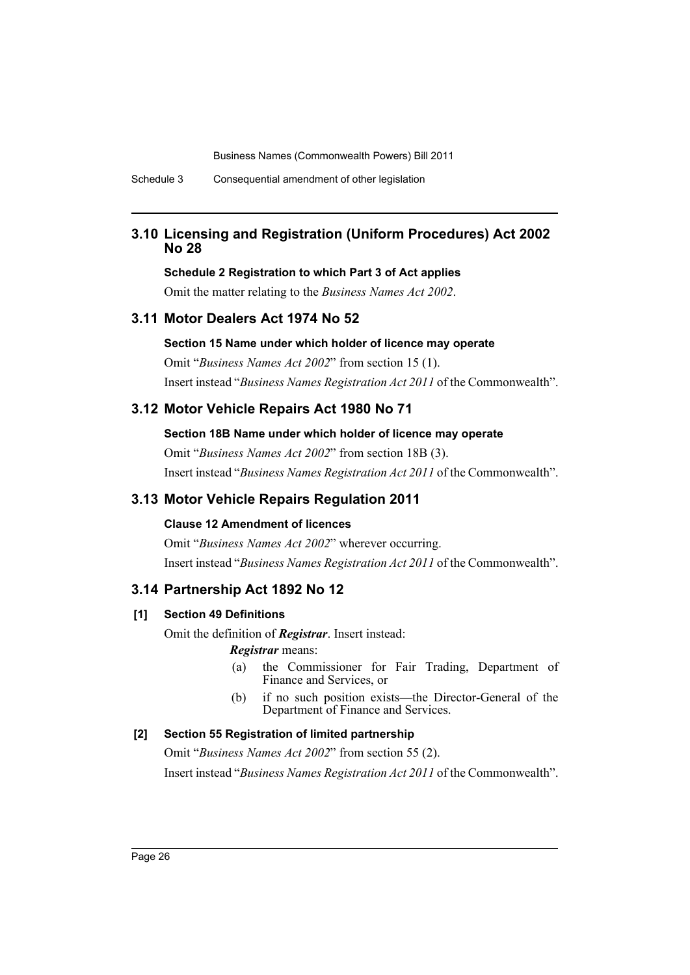Schedule 3 Consequential amendment of other legislation

## **3.10 Licensing and Registration (Uniform Procedures) Act 2002 No 28**

#### **Schedule 2 Registration to which Part 3 of Act applies**

Omit the matter relating to the *Business Names Act 2002*.

## **3.11 Motor Dealers Act 1974 No 52**

### **Section 15 Name under which holder of licence may operate**

Omit "*Business Names Act 2002*" from section 15 (1). Insert instead "*Business Names Registration Act 2011* of the Commonwealth".

## **3.12 Motor Vehicle Repairs Act 1980 No 71**

## **Section 18B Name under which holder of licence may operate**

Omit "*Business Names Act 2002*" from section 18B (3). Insert instead "*Business Names Registration Act 2011* of the Commonwealth".

## **3.13 Motor Vehicle Repairs Regulation 2011**

#### **Clause 12 Amendment of licences**

Omit "*Business Names Act 2002*" wherever occurring. Insert instead "*Business Names Registration Act 2011* of the Commonwealth".

## **3.14 Partnership Act 1892 No 12**

### **[1] Section 49 Definitions**

Omit the definition of *Registrar*. Insert instead: *Registrar* means:

- (a) the Commissioner for Fair Trading, Department of Finance and Services, or
- (b) if no such position exists—the Director-General of the Department of Finance and Services.

## **[2] Section 55 Registration of limited partnership**

Omit "*Business Names Act 2002*" from section 55 (2). Insert instead "*Business Names Registration Act 2011* of the Commonwealth".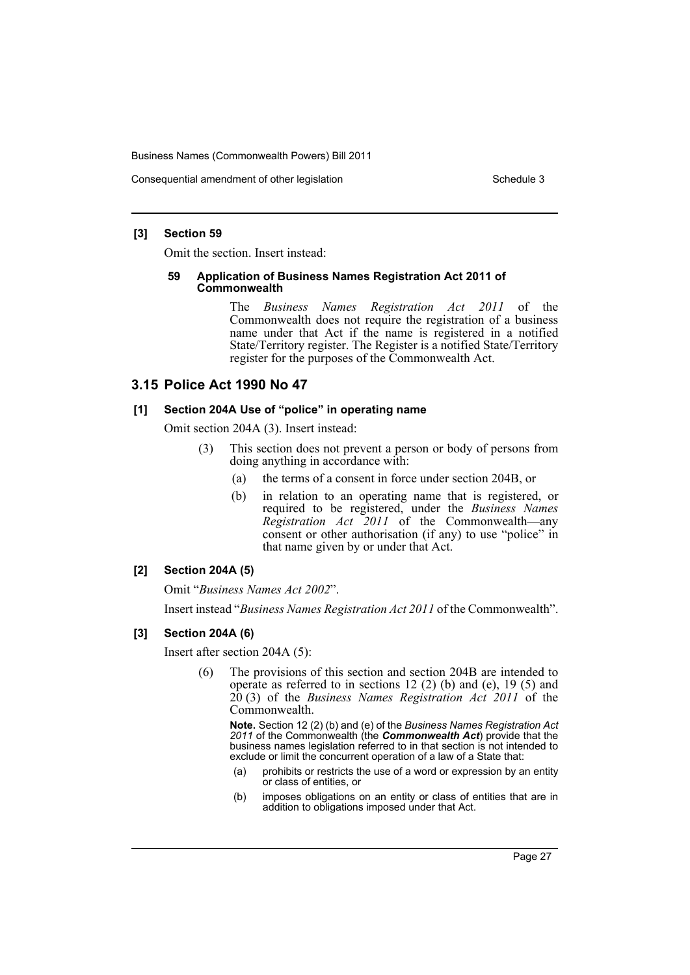Consequential amendment of other legislation Schedule 3 Schedule 3

## **[3] Section 59**

Omit the section. Insert instead:

#### **59 Application of Business Names Registration Act 2011 of Commonwealth**

The *Business Names Registration Act 2011* of the Commonwealth does not require the registration of a business name under that Act if the name is registered in a notified State/Territory register. The Register is a notified State/Territory register for the purposes of the Commonwealth Act.

## **3.15 Police Act 1990 No 47**

## **[1] Section 204A Use of "police" in operating name**

Omit section 204A (3). Insert instead:

- (3) This section does not prevent a person or body of persons from doing anything in accordance with:
	- (a) the terms of a consent in force under section 204B, or
	- (b) in relation to an operating name that is registered, or required to be registered, under the *Business Names Registration Act 2011* of the Commonwealth—any consent or other authorisation (if any) to use "police" in that name given by or under that Act.

## **[2] Section 204A (5)**

Omit "*Business Names Act 2002*".

Insert instead "*Business Names Registration Act 2011* of the Commonwealth".

## **[3] Section 204A (6)**

Insert after section 204A (5):

(6) The provisions of this section and section 204B are intended to operate as referred to in sections 12 (2) (b) and (e), 19 (5) and 20 (3) of the *Business Names Registration Act 2011* of the Commonwealth.

**Note.** Section 12 (2) (b) and (e) of the *Business Names Registration Act 2011* of the Commonwealth (the *Commonwealth Act*) provide that the business names legislation referred to in that section is not intended to exclude or limit the concurrent operation of a law of a State that:

- (a) prohibits or restricts the use of a word or expression by an entity or class of entities, or
- (b) imposes obligations on an entity or class of entities that are in addition to obligations imposed under that Act.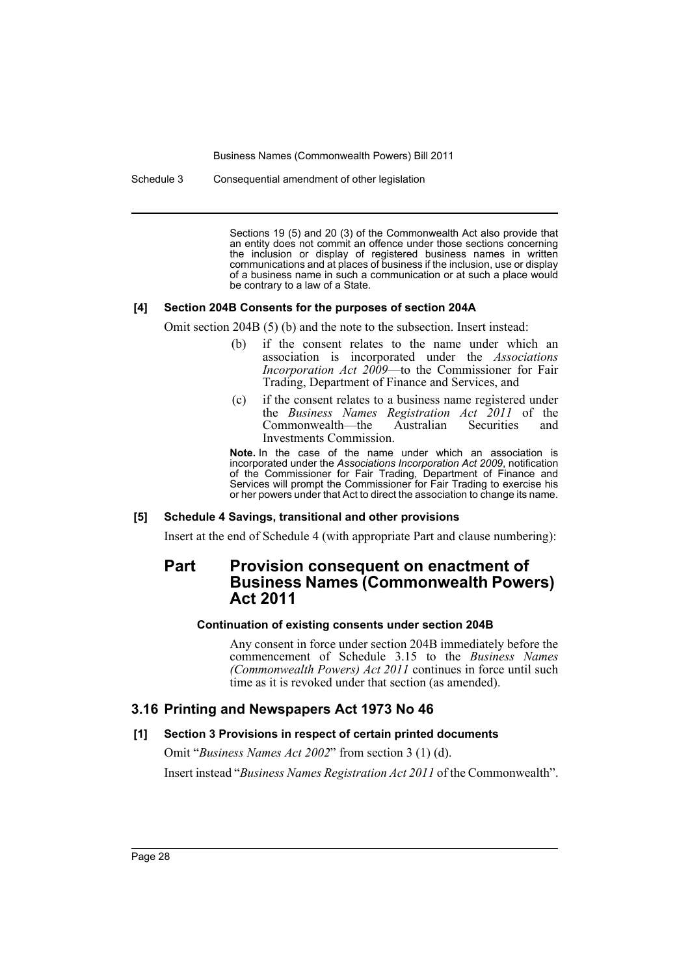Schedule 3 Consequential amendment of other legislation

Sections 19 (5) and 20 (3) of the Commonwealth Act also provide that an entity does not commit an offence under those sections concerning the inclusion or display of registered business names in written communications and at places of business if the inclusion, use or display of a business name in such a communication or at such a place would be contrary to a law of a State.

#### **[4] Section 204B Consents for the purposes of section 204A**

Omit section 204B (5) (b) and the note to the subsection. Insert instead:

- (b) if the consent relates to the name under which an association is incorporated under the *Associations Incorporation Act 2009*—to the Commissioner for Fair Trading, Department of Finance and Services, and
- (c) if the consent relates to a business name registered under the *Business Names Registration Act 2011* of the Commonwealth—the Australian Securities and Investments Commission.

**Note.** In the case of the name under which an association is incorporated under the *Associations Incorporation Act 2009*, notification of the Commissioner for Fair Trading, Department of Finance and Services will prompt the Commissioner for Fair Trading to exercise his or her powers under that Act to direct the association to change its name.

#### **[5] Schedule 4 Savings, transitional and other provisions**

Insert at the end of Schedule 4 (with appropriate Part and clause numbering):

# **Part Provision consequent on enactment of Business Names (Commonwealth Powers) Act 2011**

#### **Continuation of existing consents under section 204B**

Any consent in force under section 204B immediately before the commencement of Schedule 3.15 to the *Business Names (Commonwealth Powers) Act 2011* continues in force until such time as it is revoked under that section (as amended).

## **3.16 Printing and Newspapers Act 1973 No 46**

#### **[1] Section 3 Provisions in respect of certain printed documents**

Omit "*Business Names Act 2002*" from section 3 (1) (d).

Insert instead "*Business Names Registration Act 2011* of the Commonwealth".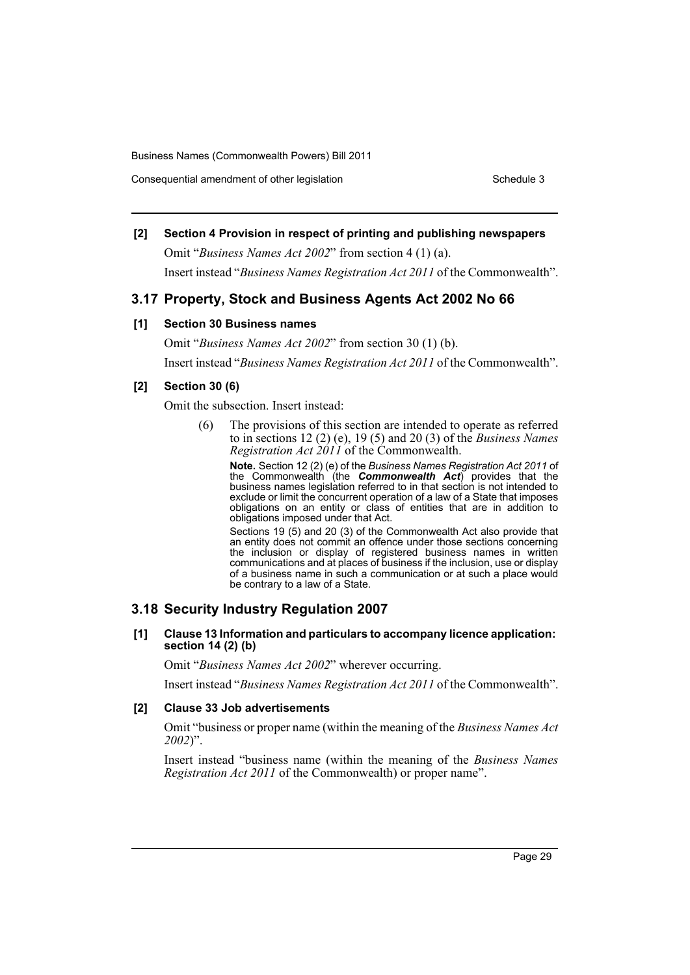Consequential amendment of other legislation Schedule 3 Schedule 3

## **[2] Section 4 Provision in respect of printing and publishing newspapers**

Omit "*Business Names Act 2002*" from section 4 (1) (a). Insert instead "*Business Names Registration Act 2011* of the Commonwealth".

## **3.17 Property, Stock and Business Agents Act 2002 No 66**

## **[1] Section 30 Business names**

Omit "*Business Names Act 2002*" from section 30 (1) (b). Insert instead "*Business Names Registration Act 2011* of the Commonwealth".

## **[2] Section 30 (6)**

Omit the subsection. Insert instead:

(6) The provisions of this section are intended to operate as referred to in sections 12 (2) (e), 19 (5) and 20 (3) of the *Business Names Registration Act 2011* of the Commonwealth.

**Note.** Section 12 (2) (e) of the *Business Names Registration Act 2011* of the Commonwealth (the *Commonwealth Act*) provides that the business names legislation referred to in that section is not intended to exclude or limit the concurrent operation of a law of a State that imposes obligations on an entity or class of entities that are in addition to obligations imposed under that Act.

Sections 19 (5) and 20 (3) of the Commonwealth Act also provide that an entity does not commit an offence under those sections concerning the inclusion or display of registered business names in written communications and at places of business if the inclusion, use or display of a business name in such a communication or at such a place would be contrary to a law of a State.

## **3.18 Security Industry Regulation 2007**

#### **[1] Clause 13 Information and particulars to accompany licence application: section 14 (2) (b)**

Omit "*Business Names Act 2002*" wherever occurring.

Insert instead "*Business Names Registration Act 2011* of the Commonwealth".

## **[2] Clause 33 Job advertisements**

Omit "business or proper name (within the meaning of the *Business Names Act 2002*)".

Insert instead "business name (within the meaning of the *Business Names Registration Act 2011* of the Commonwealth) or proper name".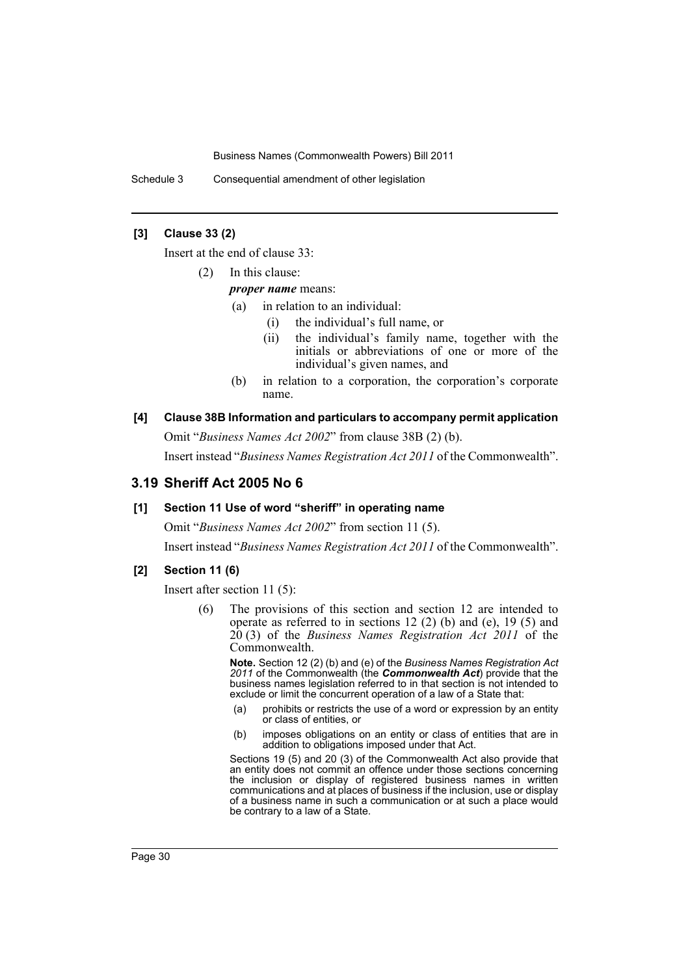Schedule 3 Consequential amendment of other legislation

## **[3] Clause 33 (2)**

Insert at the end of clause 33:

(2) In this clause:

*proper name* means:

- (a) in relation to an individual:
	- (i) the individual's full name, or
	- (ii) the individual's family name, together with the initials or abbreviations of one or more of the individual's given names, and
- (b) in relation to a corporation, the corporation's corporate name.

# **[4] Clause 38B Information and particulars to accompany permit application**

Omit "*Business Names Act 2002*" from clause 38B (2) (b).

Insert instead "*Business Names Registration Act 2011* of the Commonwealth".

## **3.19 Sheriff Act 2005 No 6**

## **[1] Section 11 Use of word "sheriff" in operating name**

Omit "*Business Names Act 2002*" from section 11 (5).

Insert instead "*Business Names Registration Act 2011* of the Commonwealth".

## **[2] Section 11 (6)**

Insert after section 11 (5):

(6) The provisions of this section and section 12 are intended to operate as referred to in sections 12 (2) (b) and (e), 19 (5) and 20 (3) of the *Business Names Registration Act 2011* of the Commonwealth.

**Note.** Section 12 (2) (b) and (e) of the *Business Names Registration Act 2011* of the Commonwealth (the *Commonwealth Act*) provide that the business names legislation referred to in that section is not intended to exclude or limit the concurrent operation of a law of a State that:

- (a) prohibits or restricts the use of a word or expression by an entity or class of entities, or
- (b) imposes obligations on an entity or class of entities that are in addition to obligations imposed under that Act.

Sections 19 (5) and 20 (3) of the Commonwealth Act also provide that an entity does not commit an offence under those sections concerning the inclusion or display of registered business names in written communications and at places of business if the inclusion, use or display of a business name in such a communication or at such a place would be contrary to a law of a State.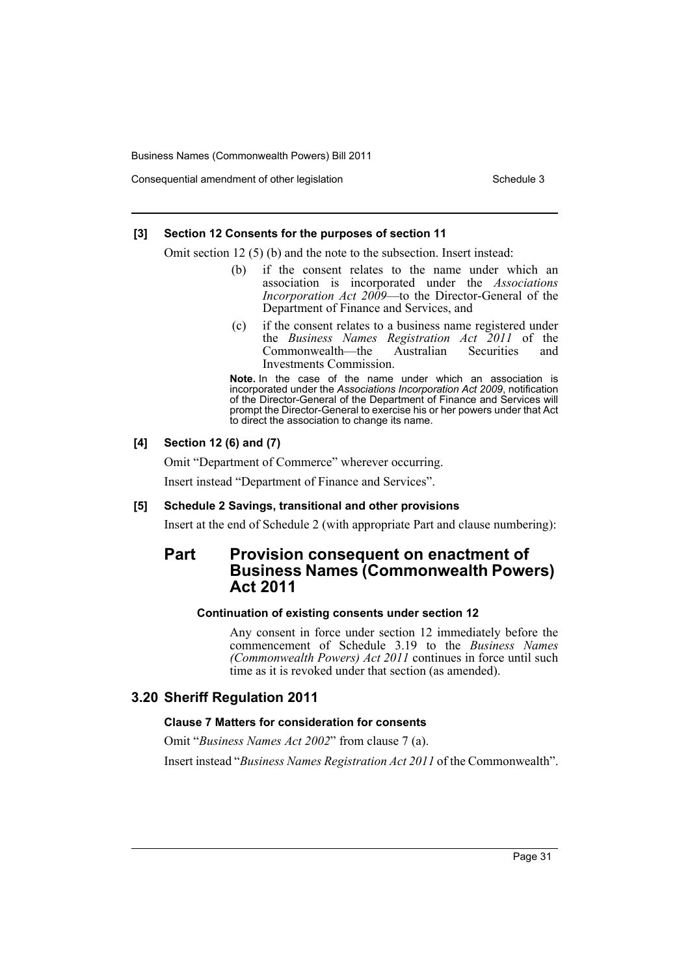Consequential amendment of other legislation Schedule 3 Schedule 3

## **[3] Section 12 Consents for the purposes of section 11**

Omit section 12 (5) (b) and the note to the subsection. Insert instead:

- (b) if the consent relates to the name under which an association is incorporated under the *Associations Incorporation Act 2009*—to the Director-General of the Department of Finance and Services, and
- (c) if the consent relates to a business name registered under the *Business Names Registration Act 2011* of the Commonwealth—the Australian Securities and Investments Commission.

**Note.** In the case of the name under which an association is incorporated under the *Associations Incorporation Act 2009*, notification of the Director-General of the Department of Finance and Services will prompt the Director-General to exercise his or her powers under that Act to direct the association to change its name.

## **[4] Section 12 (6) and (7)**

Omit "Department of Commerce" wherever occurring.

Insert instead "Department of Finance and Services".

#### **[5] Schedule 2 Savings, transitional and other provisions**

Insert at the end of Schedule 2 (with appropriate Part and clause numbering):

# **Part Provision consequent on enactment of Business Names (Commonwealth Powers) Act 2011**

### **Continuation of existing consents under section 12**

Any consent in force under section 12 immediately before the commencement of Schedule 3.19 to the *Business Names (Commonwealth Powers) Act 2011* continues in force until such time as it is revoked under that section (as amended).

## **3.20 Sheriff Regulation 2011**

### **Clause 7 Matters for consideration for consents**

Omit "*Business Names Act 2002*" from clause 7 (a).

Insert instead "*Business Names Registration Act 2011* of the Commonwealth".